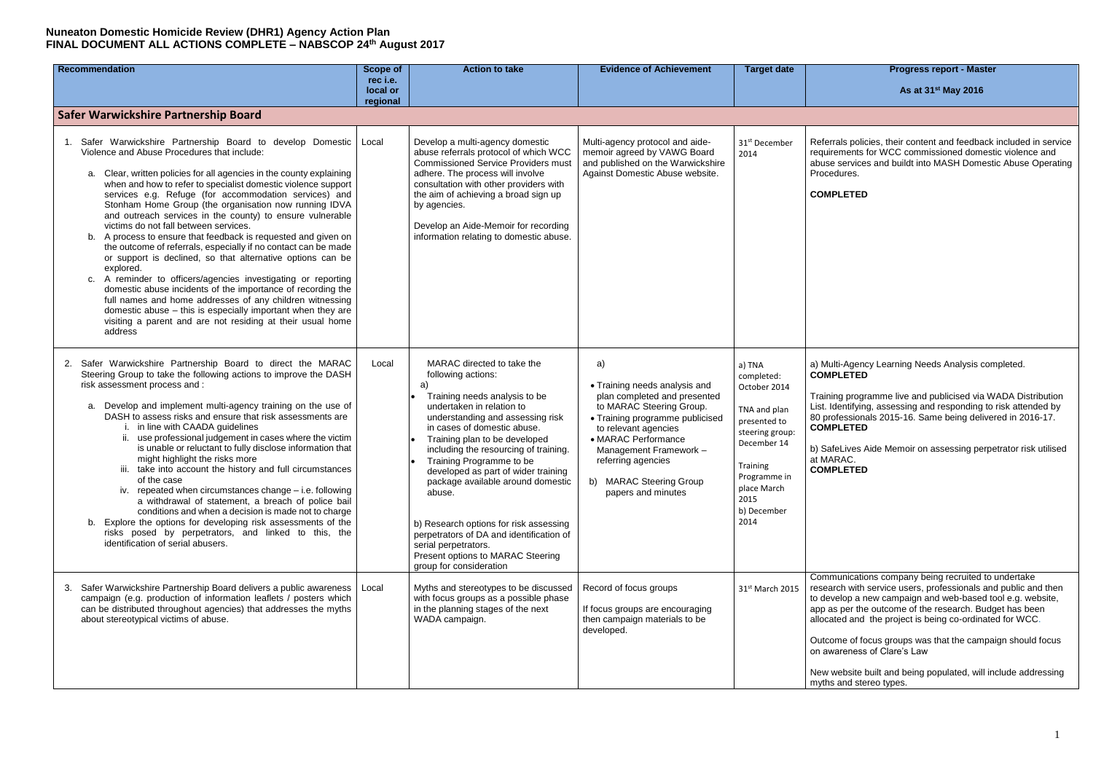#### **As at 31 st May 2016**

errals policies, their content and feedback included in service uirements for WCC commissioned domestic violence and ise services and buildt into MASH Domestic Abuse Operating cedures.

ining programme live and publicised via WADA Distribution . Identifying, assessing and responding to risk attended by 80 professionals 2015-16. Same being delivered in 2016-17. **COMPLETED**

SafeLives Aide Memoir on assessing perpetrator risk utilised **AARAC. COMPLETED**

nmunications company being recruited to undertake earch with service users, professionals and public and then levelop a new campaign and web-based tool e.g. website, as per the outcome of the research. Budget has been cated and the project is being co-ordinated for WCC.

come of focus groups was that the campaign should focus awareness of Clare's Law

v website built and being populated, will include addressing hs and stereo types.

| <b>Recommendation</b>                                                                                                                                                                                                                                                                                                                                                                                                                                                                                                                                                                                                                                                                                                                                                                                                                                                                                                                                                                                                                | <b>Scope of</b><br>rec i.e.<br>local or<br>regional | <b>Action to take</b>                                                                                                                                                                                                                                                                                                                                                                                                                                                                                                                                             | <b>Evidence of Achievement</b>                                                                                                                                                                                                                                                     | <b>Target date</b>                                                                                                                                                               | <b>Progress report - Master</b><br>As at 31 <sup>st</sup> May 2016                                                                                                                                                                                                                                                                                                                                    |
|--------------------------------------------------------------------------------------------------------------------------------------------------------------------------------------------------------------------------------------------------------------------------------------------------------------------------------------------------------------------------------------------------------------------------------------------------------------------------------------------------------------------------------------------------------------------------------------------------------------------------------------------------------------------------------------------------------------------------------------------------------------------------------------------------------------------------------------------------------------------------------------------------------------------------------------------------------------------------------------------------------------------------------------|-----------------------------------------------------|-------------------------------------------------------------------------------------------------------------------------------------------------------------------------------------------------------------------------------------------------------------------------------------------------------------------------------------------------------------------------------------------------------------------------------------------------------------------------------------------------------------------------------------------------------------------|------------------------------------------------------------------------------------------------------------------------------------------------------------------------------------------------------------------------------------------------------------------------------------|----------------------------------------------------------------------------------------------------------------------------------------------------------------------------------|-------------------------------------------------------------------------------------------------------------------------------------------------------------------------------------------------------------------------------------------------------------------------------------------------------------------------------------------------------------------------------------------------------|
| Safer Warwickshire Partnership Board                                                                                                                                                                                                                                                                                                                                                                                                                                                                                                                                                                                                                                                                                                                                                                                                                                                                                                                                                                                                 |                                                     |                                                                                                                                                                                                                                                                                                                                                                                                                                                                                                                                                                   |                                                                                                                                                                                                                                                                                    |                                                                                                                                                                                  |                                                                                                                                                                                                                                                                                                                                                                                                       |
| Safer Warwickshire Partnership Board to develop Domestic<br>1.<br>Violence and Abuse Procedures that include:<br>Clear, written policies for all agencies in the county explaining<br>а.<br>when and how to refer to specialist domestic violence support<br>services e.g. Refuge (for accommodation services) and<br>Stonham Home Group (the organisation now running IDVA<br>and outreach services in the county) to ensure vulnerable<br>victims do not fall between services.<br>b. A process to ensure that feedback is requested and given on<br>the outcome of referrals, especially if no contact can be made<br>or support is declined, so that alternative options can be<br>explored.<br>c. A reminder to officers/agencies investigating or reporting<br>domestic abuse incidents of the importance of recording the<br>full names and home addresses of any children witnessing<br>domestic abuse - this is especially important when they are<br>visiting a parent and are not residing at their usual home<br>address | Local                                               | Develop a multi-agency domestic<br>abuse referrals protocol of which WCC<br><b>Commissioned Service Providers must</b><br>adhere. The process will involve<br>consultation with other providers with<br>the aim of achieving a broad sign up<br>by agencies.<br>Develop an Aide-Memoir for recording<br>information relating to domestic abuse.                                                                                                                                                                                                                   | Multi-agency protocol and aide-<br>memoir agreed by VAWG Board<br>and published on the Warwickshire<br>Against Domestic Abuse website.                                                                                                                                             | 31 <sup>st</sup> December<br>2014                                                                                                                                                | Referrals policies, their content and feedback<br>requirements for WCC commissioned domest<br>abuse services and buildt into MASH Domest<br>Procedures.<br><b>COMPLETED</b>                                                                                                                                                                                                                           |
| Safer Warwickshire Partnership Board to direct the MARAC<br>2.<br>Steering Group to take the following actions to improve the DASH<br>risk assessment process and :<br>a. Develop and implement multi-agency training on the use of<br>DASH to assess risks and ensure that risk assessments are<br>in line with CAADA guidelines<br>use professional judgement in cases where the victim<br>is unable or reluctant to fully disclose information that<br>might highlight the risks more<br>take into account the history and full circumstances<br>of the case<br>iv. repeated when circumstances change - i.e. following<br>a withdrawal of statement, a breach of police bail<br>conditions and when a decision is made not to charge<br>b. Explore the options for developing risk assessments of the<br>risks posed by perpetrators, and linked to this, the<br>identification of serial abusers.                                                                                                                               | Local                                               | MARAC directed to take the<br>following actions:<br>a)<br>Training needs analysis to be<br>undertaken in relation to<br>understanding and assessing risk<br>in cases of domestic abuse.<br>Training plan to be developed<br>including the resourcing of training.<br>Training Programme to be<br>developed as part of wider training<br>package available around domestic<br>abuse.<br>b) Research options for risk assessing<br>perpetrators of DA and identification of<br>serial perpetrators.<br>Present options to MARAC Steering<br>group for consideration | a)<br>• Training needs analysis and<br>plan completed and presented<br>to MARAC Steering Group.<br>• Training programme publicised<br>to relevant agencies<br>• MARAC Performance<br>Management Framework -<br>referring agencies<br>b) MARAC Steering Group<br>papers and minutes | a) TNA<br>completed:<br>October 2014<br>TNA and plan<br>presented to<br>steering group:<br>December 14<br>Training<br>Programme in<br>place March<br>2015<br>b) December<br>2014 | a) Multi-Agency Learning Needs Analysis con<br><b>COMPLETED</b><br>Training programme live and publicised via W<br>List. Identifying, assessing and responding to<br>80 professionals 2015-16. Same being deliver<br><b>COMPLETED</b><br>b) SafeLives Aide Memoir on assessing perpe<br>at MARAC.<br><b>COMPLETED</b>                                                                                 |
| Safer Warwickshire Partnership Board delivers a public awareness<br>campaign (e.g. production of information leaflets / posters which<br>can be distributed throughout agencies) that addresses the myths<br>about stereotypical victims of abuse.                                                                                                                                                                                                                                                                                                                                                                                                                                                                                                                                                                                                                                                                                                                                                                                   | Local                                               | Myths and stereotypes to be discussed<br>with focus groups as a possible phase<br>in the planning stages of the next<br>WADA campaign.                                                                                                                                                                                                                                                                                                                                                                                                                            | Record of focus groups<br>If focus groups are encouraging<br>then campaign materials to be<br>developed.                                                                                                                                                                           | 31 <sup>st</sup> March 2015                                                                                                                                                      | Communications company being recruited to<br>research with service users, professionals and<br>to develop a new campaign and web-based to<br>app as per the outcome of the research. Budg<br>allocated and the project is being co-ordinate<br>Outcome of focus groups was that the campa<br>on awareness of Clare's Law<br>New website built and being populated, will in<br>myths and stereo types. |

| <b>Progress report - Master</b> |  |  |
|---------------------------------|--|--|
|---------------------------------|--|--|

a) Multi-Agency Learning Needs Analysis completed. **COMPLETED**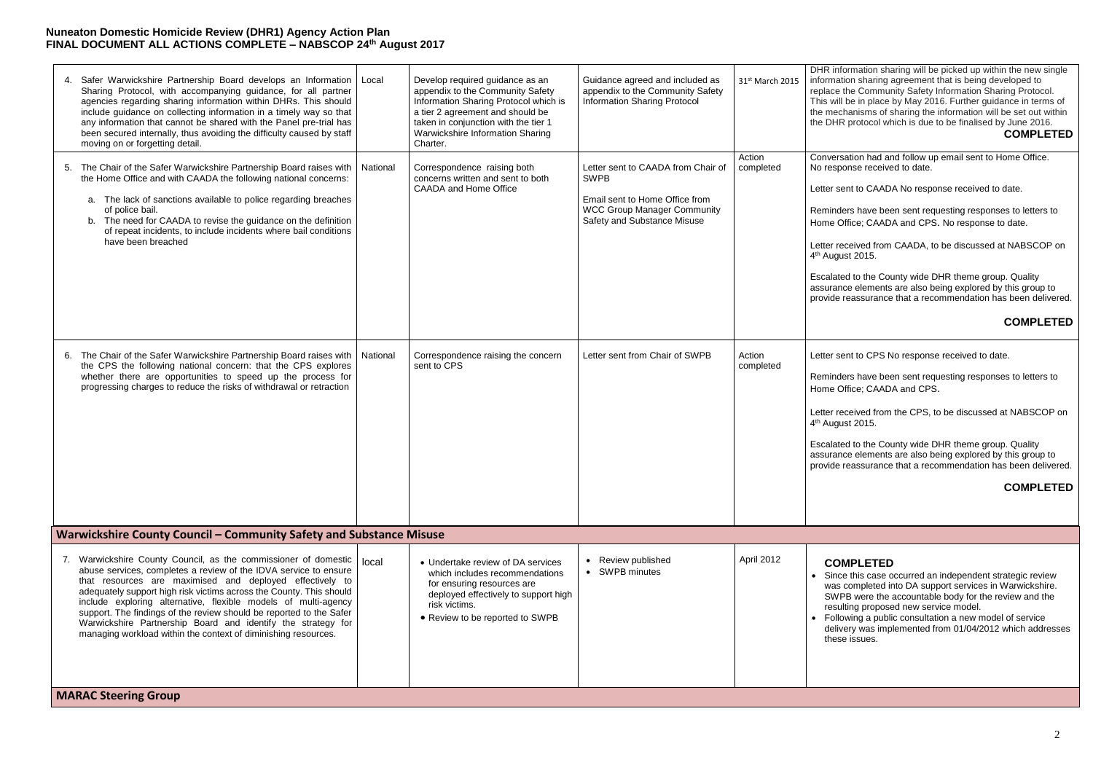### April 2012 **COMPLETED**

 Since this case occurred an independent strategic review was completed into DA support services in Warwickshire. SWPB were the accountable body for the review and the resulting proposed new service model.

 Following a public consultation a new model of service delivery was implemented from 01/04/2012 which addresses these issues.

IR information sharing will be picked up within the new single ormation sharing agreement that is being developed to blace the Community Safety Information Sharing Protocol. is will be in place by May 2016. Further guidance in terms of  $\theta$  mechanisms of sharing the information will be set out within DHR protocol which is due to be finalised by June 2016. **COMPLETED**

nversation had and follow up email sent to Home Office. response received to date.

Iter sent to CAADA No response received to date.

minders have been sent requesting responses to letters to me Office; CAADA and CPS. No response to date.

Iter received from CAADA, to be discussed at NABSCOP on August 2015.

calated to the County wide DHR theme group. Quality surance elements are also being explored by this group to vide reassurance that a recommendation has been delivered.

| Safer Warwickshire Partnership Board develops an Information<br>4.<br>Sharing Protocol, with accompanying guidance, for all partner<br>agencies regarding sharing information within DHRs. This should<br>include guidance on collecting information in a timely way so that<br>any information that cannot be shared with the Panel pre-trial has<br>been secured internally, thus avoiding the difficulty caused by staff<br>moving on or forgetting detail.                                                                                                                   | Local    | Develop required guidance as an<br>appendix to the Community Safety<br>Information Sharing Protocol which is<br>a tier 2 agreement and should be<br>taken in conjunction with the tier 1<br>Warwickshire Information Sharing<br>Charter. | Guidance agreed and included as<br>appendix to the Community Safety<br><b>Information Sharing Protocol</b>                                               | 31 <sup>st</sup> March 2015 | <b>DH</b><br>info<br>rep<br>Thi<br>the<br>the                                     |
|----------------------------------------------------------------------------------------------------------------------------------------------------------------------------------------------------------------------------------------------------------------------------------------------------------------------------------------------------------------------------------------------------------------------------------------------------------------------------------------------------------------------------------------------------------------------------------|----------|------------------------------------------------------------------------------------------------------------------------------------------------------------------------------------------------------------------------------------------|----------------------------------------------------------------------------------------------------------------------------------------------------------|-----------------------------|-----------------------------------------------------------------------------------|
| The Chair of the Safer Warwickshire Partnership Board raises with<br>5.<br>the Home Office and with CAADA the following national concerns:<br>a. The lack of sanctions available to police regarding breaches<br>of police bail.<br>b. The need for CAADA to revise the guidance on the definition<br>of repeat incidents, to include incidents where bail conditions<br>have been breached                                                                                                                                                                                      | National | Correspondence raising both<br>concerns written and sent to both<br><b>CAADA</b> and Home Office                                                                                                                                         | Letter sent to CAADA from Chair of<br><b>SWPB</b><br>Email sent to Home Office from<br><b>WCC Group Manager Community</b><br>Safety and Substance Misuse | Action<br>completed         | Co<br>No<br>Let<br>Re<br>Ho<br>Let<br>4 <sup>th</sup><br><b>Esc</b><br>ass<br>pro |
| The Chair of the Safer Warwickshire Partnership Board raises with<br>6.<br>the CPS the following national concern: that the CPS explores<br>whether there are opportunities to speed up the process for<br>progressing charges to reduce the risks of withdrawal or retraction                                                                                                                                                                                                                                                                                                   | National | Correspondence raising the concern<br>sent to CPS                                                                                                                                                                                        | Letter sent from Chair of SWPB                                                                                                                           | Action<br>completed         | Let<br>Re<br>Ho<br>Let<br>4 <sup>th</sup><br>Eso<br>ass<br>pro                    |
| Warwickshire County Council - Community Safety and Substance Misuse                                                                                                                                                                                                                                                                                                                                                                                                                                                                                                              |          |                                                                                                                                                                                                                                          |                                                                                                                                                          |                             |                                                                                   |
| 7. Warwickshire County Council, as the commissioner of domestic<br>abuse services, completes a review of the IDVA service to ensure<br>that resources are maximised and deployed effectively to<br>adequately support high risk victims across the County. This should<br>include exploring alternative, flexible models of multi-agency<br>support. The findings of the review should be reported to the Safer<br>Warwickshire Partnership Board and identify the strategy for<br>managing workload within the context of diminishing resources.<br><b>MARAC Steering Group</b> | local    | • Undertake review of DA services<br>which includes recommendations<br>for ensuring resources are<br>deployed effectively to support high<br>risk victims.<br>• Review to be reported to SWPB                                            | • Review published<br>• SWPB minutes                                                                                                                     | April 2012                  |                                                                                   |

### **COMPLETED**

Iter sent to CPS No response received to date.

minders have been sent requesting responses to letters to me Office; CAADA and CPS.

Iter received from the CPS, to be discussed at NABSCOP on August 2015.

calated to the County wide DHR theme group. Quality surance elements are also being explored by this group to vide reassurance that a recommendation has been delivered.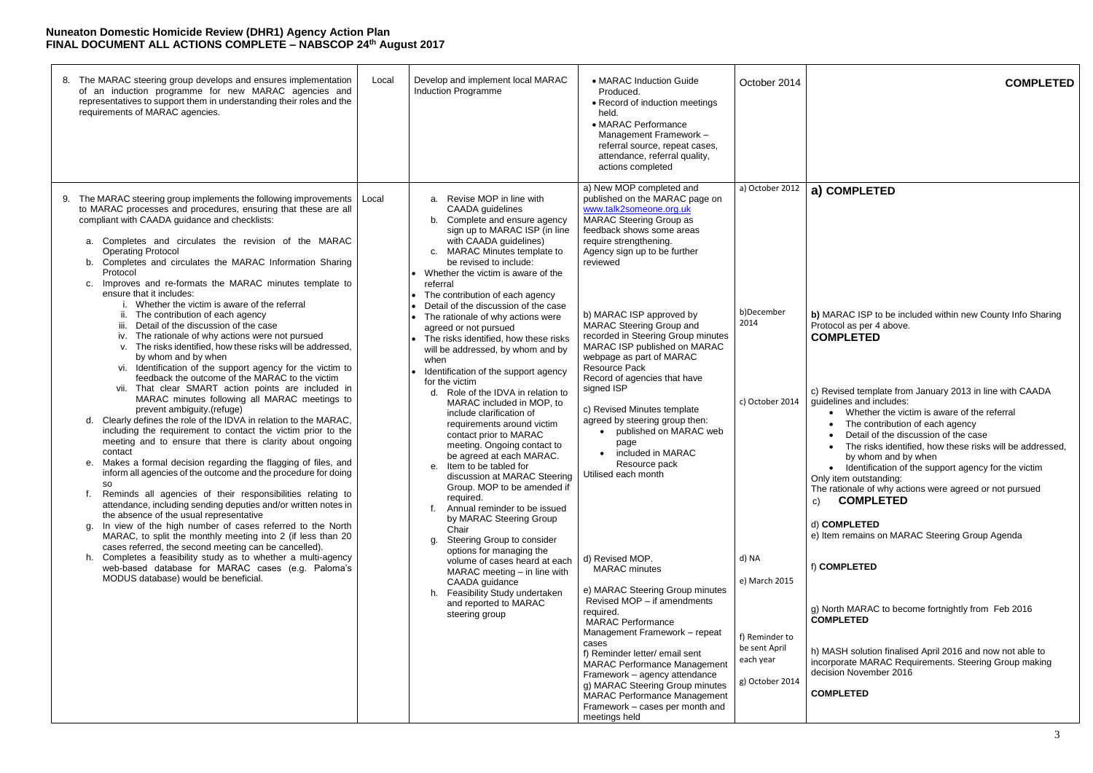# October 2014 **COMPLETED**

| 8.                                            | The MARAC steering group develops and ensures implementation<br>of an induction programme for new MARAC agencies and<br>representatives to support them in understanding their roles and the<br>requirements of MARAC agencies.                                                                                                                                                                                                                                                                                                                                                                                                                                                                                                                                                                                                                                                                                                                                                                                                                                                                                                                                                                                                                                                                                                                                                                                                                                                                                                                                                                                                                                                                                                                                                                                                                     | Local | Develop and implement local MARAC<br>Induction Programme                                                                                                                                                                                                                                                                                                                                                                                                                                                                                                                                                                                                                                                                                                                                                                                                                                                                                                                                                                                                                                                                                                                                                         | • MARAC Induction Guide<br>Produced.<br>• Record of induction meetings<br>held.<br>• MARAC Performance<br>Management Framework -<br>referral source, repeat cases,<br>attendance, referral quality,<br>actions completed                                                                                                                                                                                                                                                                                                                                                                                                                                                                                                                                                                                                                                                                                                                                                                                                                          | October 2014                                                                                                                                          |                                                                                                                                                          |
|-----------------------------------------------|-----------------------------------------------------------------------------------------------------------------------------------------------------------------------------------------------------------------------------------------------------------------------------------------------------------------------------------------------------------------------------------------------------------------------------------------------------------------------------------------------------------------------------------------------------------------------------------------------------------------------------------------------------------------------------------------------------------------------------------------------------------------------------------------------------------------------------------------------------------------------------------------------------------------------------------------------------------------------------------------------------------------------------------------------------------------------------------------------------------------------------------------------------------------------------------------------------------------------------------------------------------------------------------------------------------------------------------------------------------------------------------------------------------------------------------------------------------------------------------------------------------------------------------------------------------------------------------------------------------------------------------------------------------------------------------------------------------------------------------------------------------------------------------------------------------------------------------------------------|-------|------------------------------------------------------------------------------------------------------------------------------------------------------------------------------------------------------------------------------------------------------------------------------------------------------------------------------------------------------------------------------------------------------------------------------------------------------------------------------------------------------------------------------------------------------------------------------------------------------------------------------------------------------------------------------------------------------------------------------------------------------------------------------------------------------------------------------------------------------------------------------------------------------------------------------------------------------------------------------------------------------------------------------------------------------------------------------------------------------------------------------------------------------------------------------------------------------------------|---------------------------------------------------------------------------------------------------------------------------------------------------------------------------------------------------------------------------------------------------------------------------------------------------------------------------------------------------------------------------------------------------------------------------------------------------------------------------------------------------------------------------------------------------------------------------------------------------------------------------------------------------------------------------------------------------------------------------------------------------------------------------------------------------------------------------------------------------------------------------------------------------------------------------------------------------------------------------------------------------------------------------------------------------|-------------------------------------------------------------------------------------------------------------------------------------------------------|----------------------------------------------------------------------------------------------------------------------------------------------------------|
| 9.<br>a.<br>c.<br>d.<br>е.<br>SO.<br>f.<br>g. | The MARAC steering group implements the following improvements<br>to MARAC processes and procedures, ensuring that these are all<br>compliant with CAADA guidance and checklists:<br>Completes and circulates the revision of the MARAC<br><b>Operating Protocol</b><br>b. Completes and circulates the MARAC Information Sharing<br>Protocol<br>Improves and re-formats the MARAC minutes template to<br>ensure that it includes:<br>Whether the victim is aware of the referral<br>The contribution of each agency<br>Detail of the discussion of the case<br>iii.<br>The rationale of why actions were not pursued<br>IV.<br>v. The risks identified, how these risks will be addressed,<br>by whom and by when<br>vi. Identification of the support agency for the victim to<br>feedback the outcome of the MARAC to the victim<br>vii. That clear SMART action points are included in<br>MARAC minutes following all MARAC meetings to<br>prevent ambiguity.(refuge)<br>Clearly defines the role of the IDVA in relation to the MARAC,<br>including the requirement to contact the victim prior to the<br>meeting and to ensure that there is clarity about ongoing<br>contact<br>Makes a formal decision regarding the flagging of files, and<br>inform all agencies of the outcome and the procedure for doing<br>Reminds all agencies of their responsibilities relating to<br>attendance, including sending deputies and/or written notes in<br>the absence of the usual representative<br>In view of the high number of cases referred to the North<br>MARAC, to split the monthly meeting into 2 (if less than 20<br>cases referred, the second meeting can be cancelled).<br>h. Completes a feasibility study as to whether a multi-agency<br>web-based database for MARAC cases (e.g. Paloma's<br>MODUS database) would be beneficial. | Local | Revise MOP in line with<br>а.<br><b>CAADA</b> guidelines<br>b. Complete and ensure agency<br>sign up to MARAC ISP (in line<br>with CAADA guidelines)<br><b>MARAC Minutes template to</b><br>C.<br>be revised to include:<br>• Whether the victim is aware of the<br>referral<br>• The contribution of each agency<br>Detail of the discussion of the case<br>• The rationale of why actions were<br>agreed or not pursued<br>The risks identified, how these risks<br>will be addressed, by whom and by<br>when<br>• Identification of the support agency<br>for the victim<br>Role of the IDVA in relation to<br>d.<br>MARAC included in MOP, to<br>include clarification of<br>requirements around victim<br>contact prior to MARAC<br>meeting. Ongoing contact to<br>be agreed at each MARAC.<br>e. Item to be tabled for<br>discussion at MARAC Steering<br>Group. MOP to be amended if<br>required.<br>f. Annual reminder to be issued<br>by MARAC Steering Group<br>Chair<br>Steering Group to consider<br>g.<br>options for managing the<br>volume of cases heard at each<br>MARAC meeting - in line with<br>CAADA guidance<br>h. Feasibility Study undertaken<br>and reported to MARAC<br>steering group | a) New MOP completed and<br>published on the MARAC page on<br>www.talk2someone.org.uk<br><b>MARAC Steering Group as</b><br>feedback shows some areas<br>require strengthening.<br>Agency sign up to be further<br>reviewed<br>b) MARAC ISP approved by<br><b>MARAC Steering Group and</b><br>recorded in Steering Group minutes<br>MARAC ISP published on MARAC<br>webpage as part of MARAC<br>Resource Pack<br>Record of agencies that have<br>signed ISP<br>c) Revised Minutes template<br>agreed by steering group then:<br>published on MARAC web<br>page<br>included in MARAC<br>Resource pack<br>Utilised each month<br>d) Revised MOP.<br><b>MARAC</b> minutes<br>e) MARAC Steering Group minutes<br>Revised MOP - if amendments<br>required.<br><b>MARAC Performance</b><br>Management Framework - repeat<br>cases<br>f) Reminder letter/ email sent<br><b>MARAC Performance Management</b><br>Framework - agency attendance<br>g) MARAC Steering Group minutes<br><b>MARAC Performance Management</b><br>Framework - cases per month and | a) October 2012<br>b)December<br>2014<br>c) October 2014<br>d) NA<br>e) March 2015<br>f) Reminder to<br>be sent April<br>each year<br>g) October 2014 | a)<br>$\mathbf{b}$<br>Pro<br>cc<br>c) l<br>gui<br>On<br>The<br>C)<br>d)<br>$e)$ l<br>f) $\mathsf{C}$<br>g) l<br>$\overline{c}$<br>h)<br>inc<br>deo<br>cc |
|                                               |                                                                                                                                                                                                                                                                                                                                                                                                                                                                                                                                                                                                                                                                                                                                                                                                                                                                                                                                                                                                                                                                                                                                                                                                                                                                                                                                                                                                                                                                                                                                                                                                                                                                                                                                                                                                                                                     |       |                                                                                                                                                                                                                                                                                                                                                                                                                                                                                                                                                                                                                                                                                                                                                                                                                                                                                                                                                                                                                                                                                                                                                                                                                  | meetings held                                                                                                                                                                                                                                                                                                                                                                                                                                                                                                                                                                                                                                                                                                                                                                                                                                                                                                                                                                                                                                     |                                                                                                                                                       |                                                                                                                                                          |

a, with concurrang. c) **COMPLETED**

North MARAC to become fortnightly from Feb 2016 **COMPLETED**

MASH solution finalised April 2016 and now not able to corporate MARAC Requirements. Steering Group making  $c$ ision November 2016

# **a) COMPLETED**

**b)** MARAC ISP to be included within new County Info Sharing otocol as per 4 above. **COMPLETED**

Revised template from January 2013 in line with CAADA idelines and includes:

- Whether the victim is aware of the referral
- The contribution of each agency
- Detail of the discussion of the case
- The risks identified, how these risks will be addressed, by whom and by when
- Identification of the support agency for the victim ly item outstanding:

#### d) **COMPLETED**

Item remains on MARAC Steering Group Agenda

#### f) **COMPLETED**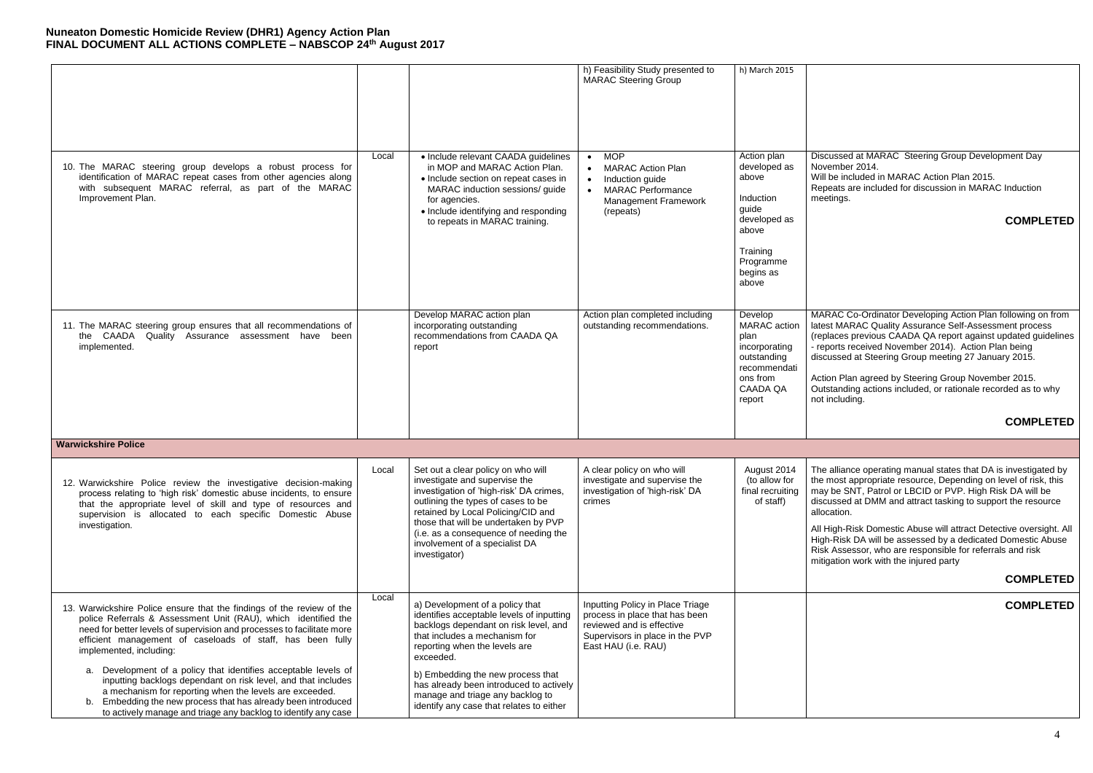# **COMPLETED**

ARAC Co-Ordinator Developing Action Plan following on from lest MARAC Quality Assurance Self-Assessment process eplaces previous CAADA QA report against updated guidelines eports received November 2014). Action Plan being ended at Steering Group meeting 27 January 2015.

tion Plan agreed by Steering Group November 2015. atstanding actions included, or rationale recorded as to why t including.

# **COMPLETED**

ne alliance operating manual states that DA is investigated by a most appropriate resource, Depending on level of risk, this ay be SNT, Patrol or LBCID or PVP. High Risk DA will be scussed at DMM and attract tasking to support the resource ocation.

High-Risk Domestic Abuse will attract Detective oversight. All gh-Risk DA will be assessed by a dedicated Domestic Abuse Risk Assessor, who are responsible for referrals and risk tigation work with the injured party

|       |                                                                                                                                                                                                                                                                                                                                                                      | h) Feasibility Study presented to<br><b>MARAC Steering Group</b>                                                                                                                      | h) March 2015                                                                                                                      |                                                                        |
|-------|----------------------------------------------------------------------------------------------------------------------------------------------------------------------------------------------------------------------------------------------------------------------------------------------------------------------------------------------------------------------|---------------------------------------------------------------------------------------------------------------------------------------------------------------------------------------|------------------------------------------------------------------------------------------------------------------------------------|------------------------------------------------------------------------|
| Local | • Include relevant CAADA guidelines<br>in MOP and MARAC Action Plan.<br>• Include section on repeat cases in<br>MARAC induction sessions/ guide<br>for agencies.<br>• Include identifying and responding<br>to repeats in MARAC training.                                                                                                                            | <b>MOP</b><br>$\bullet$<br><b>MARAC Action Plan</b><br>$\bullet$<br>Induction guide<br>$\bullet$<br><b>MARAC Performance</b><br>$\bullet$<br><b>Management Framework</b><br>(repeats) | Action plan<br>developed as<br>above<br>Induction<br>guide<br>developed as<br>above<br>Training<br>Programme<br>begins as<br>above | Dis<br>No<br>Wi<br>Re<br>me                                            |
|       | Develop MARAC action plan<br>incorporating outstanding<br>recommendations from CAADA QA<br>report                                                                                                                                                                                                                                                                    | Action plan completed including<br>outstanding recommendations.                                                                                                                       | Develop<br>MARAC action<br>plan<br>incorporating<br>outstanding<br>recommendati<br>ons from<br><b>CAADA QA</b><br>report           | MA<br>late<br>(re<br>$-$ re<br>dis<br>Ac<br>Ou<br>not                  |
|       |                                                                                                                                                                                                                                                                                                                                                                      |                                                                                                                                                                                       |                                                                                                                                    |                                                                        |
| Local | Set out a clear policy on who will<br>investigate and supervise the<br>investigation of 'high-risk' DA crimes,<br>outlining the types of cases to be<br>retained by Local Policing/CID and<br>those that will be undertaken by PVP<br>(i.e. as a consequence of needing the<br>involvement of a specialist DA<br>investigator)                                       | A clear policy on who will<br>investigate and supervise the<br>investigation of 'high-risk' DA<br>crimes                                                                              | August 2014<br>(to allow for<br>final recruiting<br>of staff)                                                                      | Th<br>the<br>m <sub>5</sub><br>dis<br>allo<br>All<br>Hig<br>Ris<br>mit |
| Local | a) Development of a policy that<br>identifies acceptable levels of inputting<br>backlogs dependant on risk level, and<br>that includes a mechanism for<br>reporting when the levels are<br>exceeded.<br>b) Embedding the new process that<br>has already been introduced to actively<br>manage and triage any backlog to<br>identify any case that relates to either | Inputting Policy in Place Triage<br>process in place that has been<br>reviewed and is effective<br>Supervisors in place in the PVP<br>East HAU (i.e. RAU)                             |                                                                                                                                    |                                                                        |
|       |                                                                                                                                                                                                                                                                                                                                                                      |                                                                                                                                                                                       |                                                                                                                                    |                                                                        |

scussed at MARAC Steering Group Development Day vember 2014. Ill be included in MARAC Action Plan 2015.

epeats are included for discussion in MARAC Induction etings.

### **COMPLETED**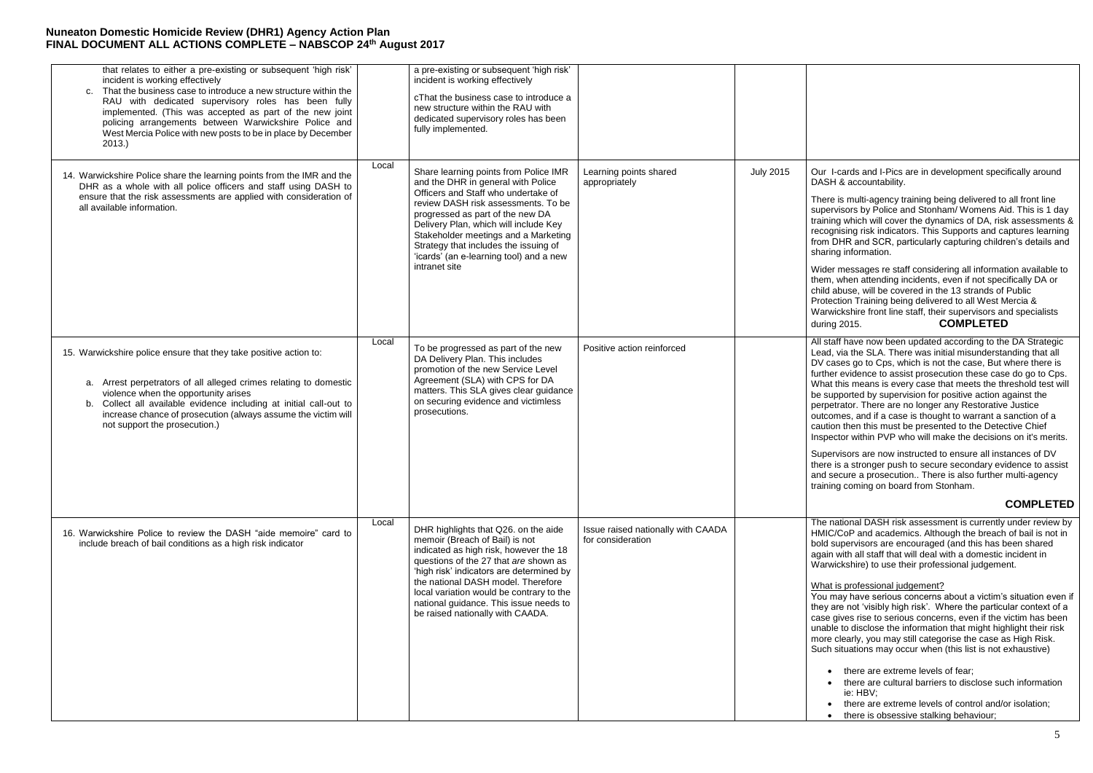der messages re staff considering all information available to em, when attending incidents, even if not specifically DA or Id abuse, will be covered in the 13 strands of Public otection Training being delivered to all West Mercia & arwickshire front line staff, their supervisors and specialists during 2015. **COMPLETED**

staff have now been updated according to the DA Strategic ad, via the SLA. There was initial misunderstanding that all cases go to Cps, which is not the case. But where there is ther evidence to assist prosecution these case do go to Cps. hat this means is every case that meets the threshold test will supported by supervision for positive action against the rpetrator. There are no longer any Restorative Justice tcomes, and if a case is thought to warrant a sanction of a ution then this must be presented to the Detective Chief spector within PVP who will make the decisions on it's merits.

pervisors are now instructed to ensure all instances of DV ere is a stronger push to secure secondary evidence to assist d secure a prosecution.. There is also further multi-agency ining coming on board from Stonham.

| that relates to either a pre-existing or subsequent 'high risk'<br>incident is working effectively<br>That the business case to introduce a new structure within the<br>C <sub>1</sub><br>RAU with dedicated supervisory roles has been fully<br>implemented. (This was accepted as part of the new joint<br>policing arrangements between Warwickshire Police and<br>West Mercia Police with new posts to be in place by December<br>2013. |       | a pre-existing or subsequent 'high risk'<br>incident is working effectively<br>cThat the business case to introduce a<br>new structure within the RAU with<br>dedicated supervisory roles has been<br>fully implemented.                                                                                                                                                            |                                                         |                  |                                                                                                        |
|---------------------------------------------------------------------------------------------------------------------------------------------------------------------------------------------------------------------------------------------------------------------------------------------------------------------------------------------------------------------------------------------------------------------------------------------|-------|-------------------------------------------------------------------------------------------------------------------------------------------------------------------------------------------------------------------------------------------------------------------------------------------------------------------------------------------------------------------------------------|---------------------------------------------------------|------------------|--------------------------------------------------------------------------------------------------------|
| 14. Warwickshire Police share the learning points from the IMR and the<br>DHR as a whole with all police officers and staff using DASH to<br>ensure that the risk assessments are applied with consideration of<br>all available information.                                                                                                                                                                                               | Local | Share learning points from Police IMR<br>and the DHR in general with Police<br>Officers and Staff who undertake of<br>review DASH risk assessments. To be<br>progressed as part of the new DA<br>Delivery Plan, which will include Key<br>Stakeholder meetings and a Marketing<br>Strategy that includes the issuing of<br>'icards' (an e-learning tool) and a new<br>intranet site | Learning points shared<br>appropriately                 | <b>July 2015</b> | Oul<br>DA<br>The<br>sup<br>trai<br>rec<br>fror<br>sha<br>Wio<br>ther<br>chil<br>Pro<br>Wa<br>dur       |
| 15. Warwickshire police ensure that they take positive action to:<br>a. Arrest perpetrators of all alleged crimes relating to domestic<br>violence when the opportunity arises<br>b. Collect all available evidence including at initial call-out to<br>increase chance of prosecution (always assume the victim will<br>not support the prosecution.)                                                                                      | Local | To be progressed as part of the new<br>DA Delivery Plan. This includes<br>promotion of the new Service Level<br>Agreement (SLA) with CPS for DA<br>matters. This SLA gives clear guidance<br>on securing evidence and victimless<br>prosecutions.                                                                                                                                   | Positive action reinforced                              |                  | All:<br>Lea<br><b>DV</b><br>furt<br>Wh<br>be:<br>per<br>out<br>cau<br>Ins<br>Sup<br>the<br>anc<br>trai |
| 16. Warwickshire Police to review the DASH "aide memoire" card to<br>include breach of bail conditions as a high risk indicator                                                                                                                                                                                                                                                                                                             | Local | DHR highlights that Q26. on the aide<br>memoir (Breach of Bail) is not<br>indicated as high risk, however the 18<br>questions of the 27 that are shown as<br>'high risk' indicators are determined by<br>the national DASH model. Therefore<br>local variation would be contrary to the<br>national guidance. This issue needs to<br>be raised nationally with CAADA.               | Issue raised nationally with CAADA<br>for consideration |                  | The<br>HM<br>bol<br>aga<br>Wa<br>Wh<br>You<br>the <sup>®</sup><br>cas<br>una<br>mo<br>Suc              |

Ir I-cards and I-Pics are in development specifically around SH & accountability.

ere is multi-agency training being delivered to all front line pervisors by Police and Stonham/ Womens Aid. This is 1 day ining which will cover the dynamics of DA, risk assessments  $\&$ cognising risk indicators. This Supports and captures learning m DHR and SCR, particularly capturing children's details and aring information.

# **COMPLETED**

e national DASH risk assessment is currently under review by AIC/CoP and academics. Although the breach of bail is not in ld supervisors are encouraged (and this has been shared ain with all staff that will deal with a domestic incident in arwickshire) to use their professional judgement.

#### hat is professional judgement?

u may have serious concerns about a victim's situation even if ey are not 'visibly high risk'. Where the particular context of a se gives rise to serious concerns, even if the victim has been able to disclose the information that might highlight their risk ore clearly, you may still categorise the case as High Risk. ch situations may occur when (this list is not exhaustive)

- there are extreme levels of fear;
- there are cultural barriers to disclose such information ie: HBV;
- there are extreme levels of control and/or isolation;
- there is obsessive stalking behaviour;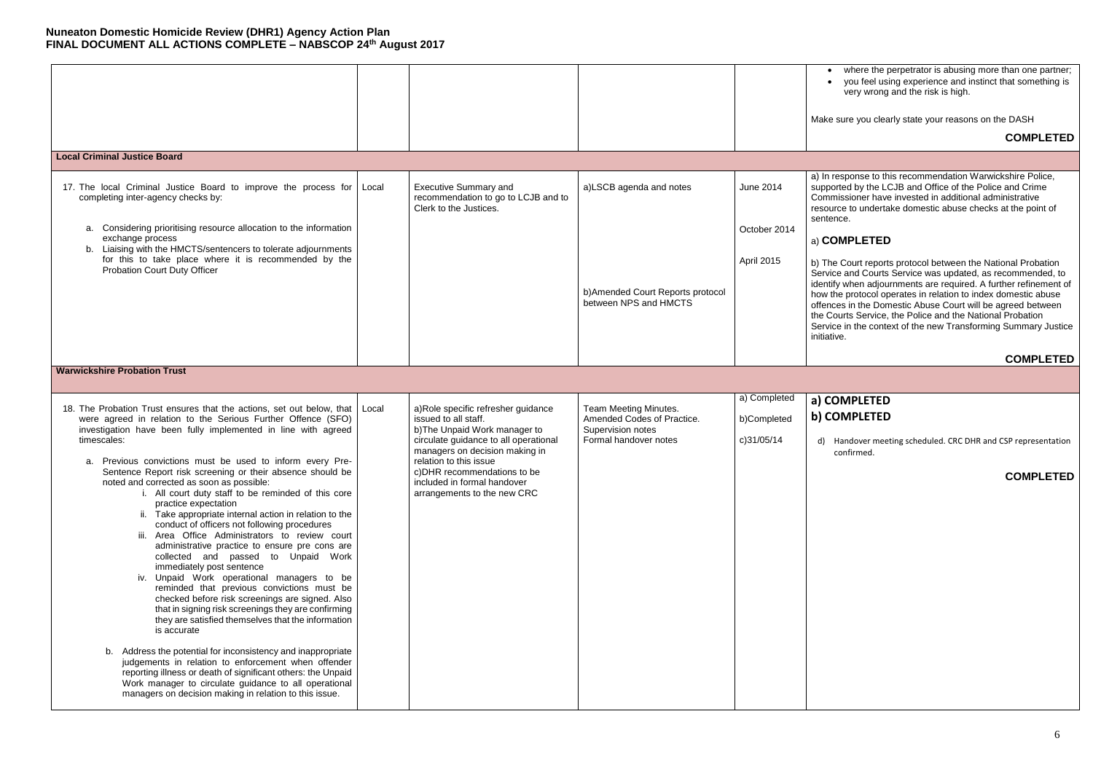- where the perpetrator is abusing more than one partner;
- you feel using experience and instinct that something is very wrong and the risk is high.

ake sure you clearly state your reasons on the DASH

**COMPLETED**

In response to this recommendation Warwickshire Police, apported by the LCJB and Office of the Police and Crime ommissioner have invested in additional administrative source to undertake domestic abuse checks at the point of entence.

b) The Court reports protocol between the National Probation ervice and Courts Service was updated, as recommended, to entify when adjournments are required. A further refinement of ow the protocol operates in relation to index domestic abuse fences in the Domestic Abuse Court will be agreed between e Courts Service, the Police and the National Probation ervice in the context of the new Transforming Summary Justice itiative.

# a) **COMPLETED**

## **COMPLETED**

|                                                                                                                                                                                                                                                                                                                                                                                                                                                                                                                                                                                                                                                                                                                                                                                                                                                                                                                                                                                                                                                                                                                                                                                                                                                                                                                                                        |       |                                                                                                                                                                                                                                                                                                |                                                                                                   |                                           | Mε                                                                                                          |
|--------------------------------------------------------------------------------------------------------------------------------------------------------------------------------------------------------------------------------------------------------------------------------------------------------------------------------------------------------------------------------------------------------------------------------------------------------------------------------------------------------------------------------------------------------------------------------------------------------------------------------------------------------------------------------------------------------------------------------------------------------------------------------------------------------------------------------------------------------------------------------------------------------------------------------------------------------------------------------------------------------------------------------------------------------------------------------------------------------------------------------------------------------------------------------------------------------------------------------------------------------------------------------------------------------------------------------------------------------|-------|------------------------------------------------------------------------------------------------------------------------------------------------------------------------------------------------------------------------------------------------------------------------------------------------|---------------------------------------------------------------------------------------------------|-------------------------------------------|-------------------------------------------------------------------------------------------------------------|
| <b>Local Criminal Justice Board</b>                                                                                                                                                                                                                                                                                                                                                                                                                                                                                                                                                                                                                                                                                                                                                                                                                                                                                                                                                                                                                                                                                                                                                                                                                                                                                                                    |       |                                                                                                                                                                                                                                                                                                |                                                                                                   |                                           |                                                                                                             |
| 17. The local Criminal Justice Board to improve the process for<br>completing inter-agency checks by:<br>a. Considering prioritising resource allocation to the information<br>exchange process<br>b. Liaising with the HMCTS/sentencers to tolerate adjournments<br>for this to take place where it is recommended by the<br><b>Probation Court Duty Officer</b>                                                                                                                                                                                                                                                                                                                                                                                                                                                                                                                                                                                                                                                                                                                                                                                                                                                                                                                                                                                      | Local | <b>Executive Summary and</b><br>recommendation to go to LCJB and to<br>Clerk to the Justices.                                                                                                                                                                                                  | a)LSCB agenda and notes<br>b) Amended Court Reports protocol<br>between NPS and HMCTS             | June 2014<br>October 2014<br>April 2015   | a)<br>su<br>C <sub>C</sub><br>res<br>se<br>a)<br>b)<br>Se<br>ide<br>ho<br>off<br>the<br>$S\epsilon$<br>.ini |
| <b>Warwickshire Probation Trust</b>                                                                                                                                                                                                                                                                                                                                                                                                                                                                                                                                                                                                                                                                                                                                                                                                                                                                                                                                                                                                                                                                                                                                                                                                                                                                                                                    |       |                                                                                                                                                                                                                                                                                                |                                                                                                   |                                           |                                                                                                             |
|                                                                                                                                                                                                                                                                                                                                                                                                                                                                                                                                                                                                                                                                                                                                                                                                                                                                                                                                                                                                                                                                                                                                                                                                                                                                                                                                                        |       |                                                                                                                                                                                                                                                                                                |                                                                                                   |                                           |                                                                                                             |
| 18. The Probation Trust ensures that the actions, set out below, that<br>were agreed in relation to the Serious Further Offence (SFO)<br>investigation have been fully implemented in line with agreed<br>timescales:<br>Previous convictions must be used to inform every Pre-<br>а.<br>Sentence Report risk screening or their absence should be<br>noted and corrected as soon as possible:<br>i. All court duty staff to be reminded of this core<br>practice expectation<br>ii. Take appropriate internal action in relation to the<br>conduct of officers not following procedures<br>iii. Area Office Administrators to review court<br>administrative practice to ensure pre cons are<br>collected and passed to Unpaid Work<br>immediately post sentence<br>iv. Unpaid Work operational managers to be<br>reminded that previous convictions must be<br>checked before risk screenings are signed. Also<br>that in signing risk screenings they are confirming<br>they are satisfied themselves that the information<br>is accurate<br>b. Address the potential for inconsistency and inappropriate<br>judgements in relation to enforcement when offender<br>reporting illness or death of significant others: the Unpaid<br>Work manager to circulate guidance to all operational<br>managers on decision making in relation to this issue. | Local | a)Role specific refresher guidance<br>issued to all staff.<br>b) The Unpaid Work manager to<br>circulate guidance to all operational<br>managers on decision making in<br>relation to this issue<br>c) DHR recommendations to be<br>included in formal handover<br>arrangements to the new CRC | Team Meeting Minutes.<br>Amended Codes of Practice.<br>Supervision notes<br>Formal handover notes | a) Completed<br>b)Completed<br>c)31/05/14 | a)<br>$\mathbf{b}$<br>C                                                                                     |

# **a) COMPLETED b) COMPLETED**

d) Handover meeting scheduled. CRC DHR and CSP representation confirmed.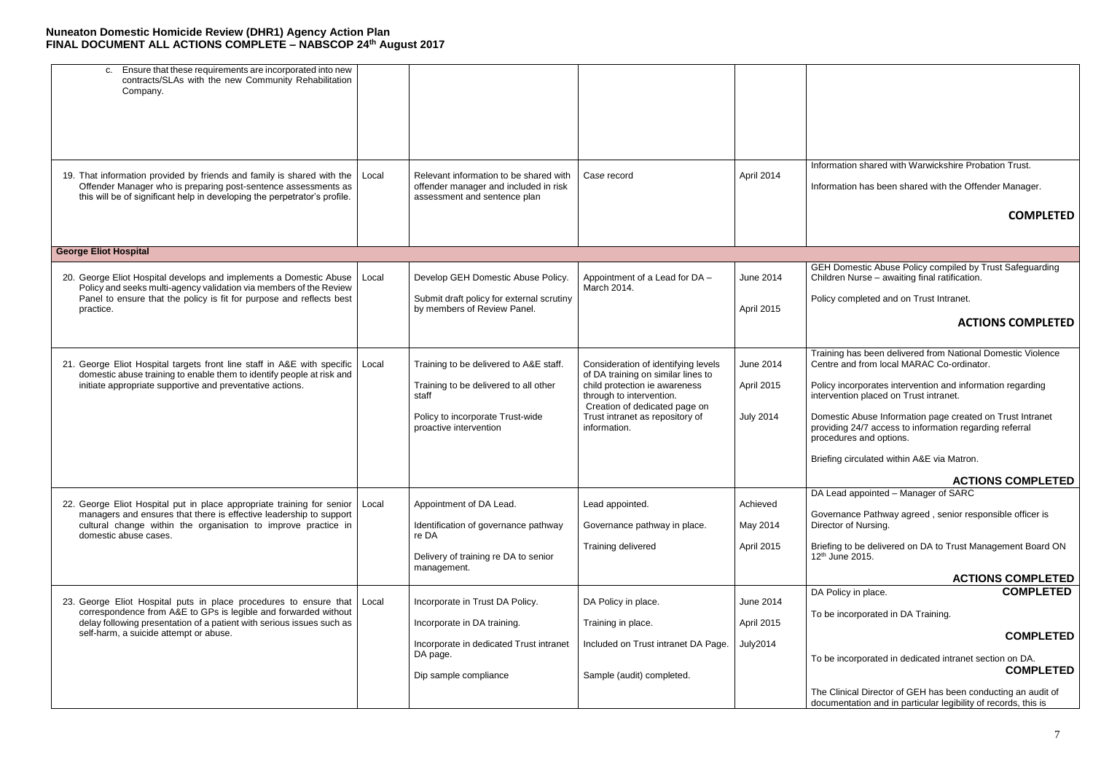# **COMPLETED**

Domestic Abuse Information page created on Trust Intranet providing 24/7 access to information regarding referral pcedures and options.

iefing circulated within A&E via Matron.

GEH Domestic Abuse Policy compiled by Trust Safeguarding Children Nurse – awaiting final ratification.

licy completed and on Trust Intranet.

# **ACTIONS COMPLETED**

aining has been delivered from National Domestic Violence ntre and from local MARAC Co-ordinator.

licy incorporates intervention and information regarding ervention placed on Trust intranet.

| Ensure that these requirements are incorporated into new<br>C.<br>contracts/SLAs with the new Community Rehabilitation<br>Company.                                                                                    |       |                                                                                                                 |                                                                                                                                  |                  |                                |
|-----------------------------------------------------------------------------------------------------------------------------------------------------------------------------------------------------------------------|-------|-----------------------------------------------------------------------------------------------------------------|----------------------------------------------------------------------------------------------------------------------------------|------------------|--------------------------------|
|                                                                                                                                                                                                                       |       |                                                                                                                 |                                                                                                                                  |                  |                                |
| 19. That information provided by friends and family is shared with the<br>Offender Manager who is preparing post-sentence assessments as<br>this will be of significant help in developing the perpetrator's profile. | Local | Relevant information to be shared with<br>offender manager and included in risk<br>assessment and sentence plan | Case record                                                                                                                      | April 2014       | Info<br>Info                   |
| <b>George Eliot Hospital</b>                                                                                                                                                                                          |       |                                                                                                                 |                                                                                                                                  |                  |                                |
| 20. George Eliot Hospital develops and implements a Domestic Abuse<br>Policy and seeks multi-agency validation via members of the Review                                                                              | Local | Develop GEH Domestic Abuse Policy.                                                                              | Appointment of a Lead for DA -<br>March 2014.                                                                                    | <b>June 2014</b> | <b>GE</b><br>Chi               |
| Panel to ensure that the policy is fit for purpose and reflects best<br>practice.                                                                                                                                     |       | Submit draft policy for external scrutiny<br>by members of Review Panel.                                        |                                                                                                                                  | April 2015       | Pol                            |
| 21. George Eliot Hospital targets front line staff in A&E with specific                                                                                                                                               | Local | Training to be delivered to A&E staff.                                                                          | Consideration of identifying levels                                                                                              | <b>June 2014</b> | Tra<br>Ce                      |
| domestic abuse training to enable them to identify people at risk and<br>initiate appropriate supportive and preventative actions.                                                                                    |       | Training to be delivered to all other<br>staff                                                                  | of DA training on similar lines to<br>child protection ie awareness<br>through to intervention.<br>Creation of dedicated page on | April 2015       | Pol<br>$int_{\epsilon}$        |
|                                                                                                                                                                                                                       |       | Policy to incorporate Trust-wide<br>proactive intervention                                                      | Trust intranet as repository of<br>information.                                                                                  | <b>July 2014</b> | Do<br>pro<br>pro               |
|                                                                                                                                                                                                                       |       |                                                                                                                 |                                                                                                                                  |                  | <b>Brid</b>                    |
| 22. George Eliot Hospital put in place appropriate training for senior                                                                                                                                                | Local | Appointment of DA Lead.                                                                                         | Lead appointed.                                                                                                                  | Achieved         | DA                             |
| managers and ensures that there is effective leadership to support<br>cultural change within the organisation to improve practice in<br>domestic abuse cases.                                                         |       | Identification of governance pathway<br>re DA                                                                   | Governance pathway in place.                                                                                                     | May 2014         | Go<br>Dir                      |
|                                                                                                                                                                                                                       |       | Delivery of training re DA to senior<br>management.                                                             | Training delivered                                                                                                               | April 2015       | <b>Brid</b><br>12 <sup>t</sup> |
| 23. George Eliot Hospital puts in place procedures to ensure that                                                                                                                                                     | Local | Incorporate in Trust DA Policy.                                                                                 | DA Policy in place.                                                                                                              | June 2014        | <b>DA</b>                      |
| correspondence from A&E to GPs is legible and forwarded without<br>delay following presentation of a patient with serious issues such as<br>self-harm, a suicide attempt or abuse.                                    |       | Incorporate in DA training.                                                                                     | Training in place.                                                                                                               | April 2015       | To                             |
|                                                                                                                                                                                                                       |       | Incorporate in dedicated Trust intranet<br>DA page.                                                             | Included on Trust intranet DA Page.                                                                                              | <b>July2014</b>  | To                             |
|                                                                                                                                                                                                                       |       | Dip sample compliance                                                                                           | Sample (audit) completed.                                                                                                        |                  |                                |
|                                                                                                                                                                                                                       |       |                                                                                                                 |                                                                                                                                  |                  | The<br>doo                     |

ormation shared with Warwickshire Probation Trust.

ormation has been shared with the Offender Manager.

be incorporated in dedicated intranet section on DA. **COMPLETED**

e Clinical Director of GEH has been conducting an audit of cumentation and in particular legibility of records, this is

### **ACTIONS COMPLETED**

Lead appointed – Manager of SARC

vernance Pathway agreed, senior responsible officer is ector of Nursing.

efing to be delivered on DA to Trust Management Board ON  $th$  June 2015.

#### **ACTIONS COMPLETED** DA Policy in place. **COMPLETED**

be incorporated in DA Training.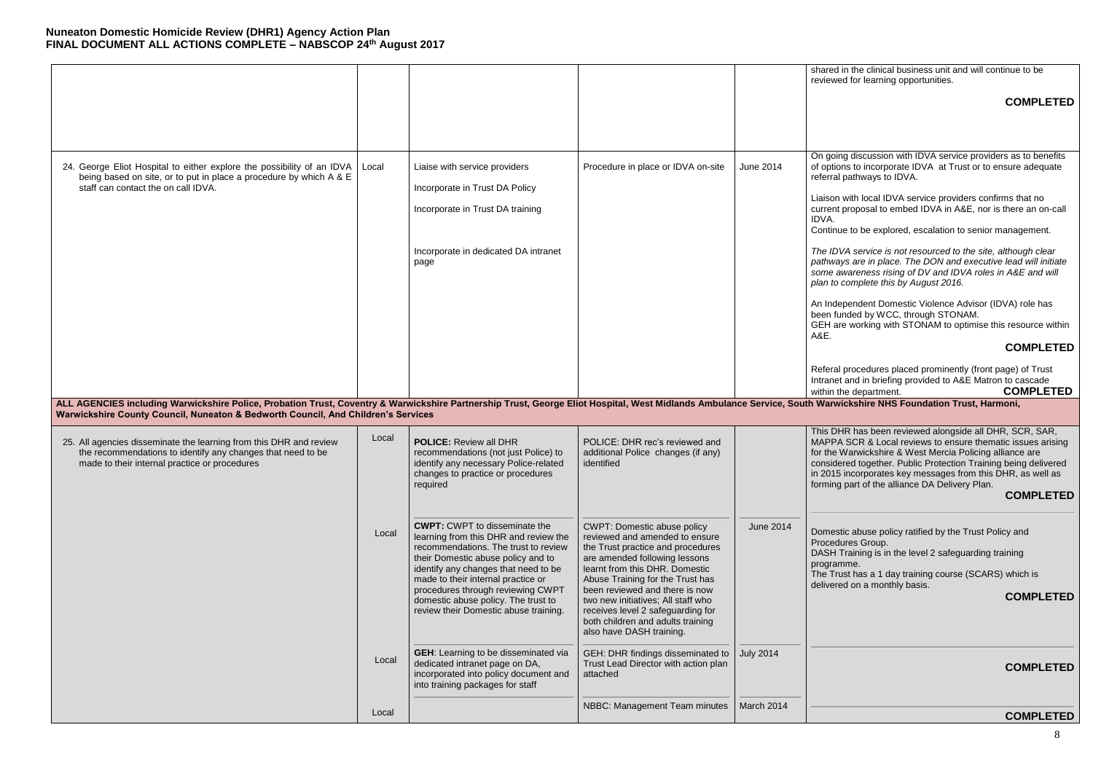# **COMPLETED**

going discussion with IDVA service providers as to benefits options to incorporate IDVA at Trust or to ensure adequate erral pathways to IDVA.

lison with local IDVA service providers confirms that no rrent proposal to embed IDVA in A&E, nor is there an on-call IDVA.

ntinue to be explored, escalation to senior management.

Independent Domestic Violence Advisor (IDVA) role has en funded by WCC, through STONAM. EH are working with STONAM to optimise this resource within A&E.

*The IDVA service is not resourced to the site, although clear pathways are in place. The DON and executive lead will initiate some awareness rising of DV and IDVA roles in A&E and will plan to complete this by August 2016.*

### **COMPLETED**

feral procedures placed prominently (front page) of Trust ranet and in briefing provided to A&E Matron to cascade hin the department. **COMPLETED** 

**The Warwickshire NHS Foundation Trust, Harmoni, Ambulance Service Service Service Service Service Service Servi** 

is DHR has been reviewed alongside all DHR, SCR, SAR, APPA SCR & Local reviews to ensure thematic issues arising the Warwickshire & West Mercia Policing alliance are nsidered together. Public Protection Training being delivered 2015 incorporates key messages from this DHR, as well as ming part of the alliance DA Delivery Plan.

|                                                                                                                                                                                                                                                                                                                                                                |       |                                                                                                                                                                                                                                                                                                                                                                |                                                                                                                                                                                                                                                                                                                                                                                                |                  | sha<br>rev                                                                                                                              |
|----------------------------------------------------------------------------------------------------------------------------------------------------------------------------------------------------------------------------------------------------------------------------------------------------------------------------------------------------------------|-------|----------------------------------------------------------------------------------------------------------------------------------------------------------------------------------------------------------------------------------------------------------------------------------------------------------------------------------------------------------------|------------------------------------------------------------------------------------------------------------------------------------------------------------------------------------------------------------------------------------------------------------------------------------------------------------------------------------------------------------------------------------------------|------------------|-----------------------------------------------------------------------------------------------------------------------------------------|
|                                                                                                                                                                                                                                                                                                                                                                |       |                                                                                                                                                                                                                                                                                                                                                                |                                                                                                                                                                                                                                                                                                                                                                                                |                  |                                                                                                                                         |
| 24. George Eliot Hospital to either explore the possibility of an IDVA<br>being based on site, or to put in place a procedure by which A & E<br>staff can contact the on call IDVA.<br>ALL AGENCIES including Warwickshire Police, Probation Trust, Coventry & Warwickshire Partnership Trust, George Eliot Hospital, West Midlands Ambulance Service, South W | Local | Liaise with service providers<br>Incorporate in Trust DA Policy<br>Incorporate in Trust DA training<br>Incorporate in dedicated DA intranet<br>page                                                                                                                                                                                                            | Procedure in place or IDVA on-site                                                                                                                                                                                                                                                                                                                                                             | June 2014        | On<br>of o<br>ref<br>Lia<br>cur<br><b>ID</b><br>Co<br>The<br>pat<br>sor<br>pla<br>An<br>bee<br><b>GE</b><br>$A\&$<br>Re<br>Intr<br>witl |
| Warwickshire County Council, Nuneaton & Bedworth Council, And Children's Services<br>25. All agencies disseminate the learning from this DHR and review<br>the recommendations to identify any changes that need to be<br>made to their internal practice or procedures                                                                                        | Local | <b>POLICE: Review all DHR</b><br>recommendations (not just Police) to<br>identify any necessary Police-related<br>changes to practice or procedures<br>required                                                                                                                                                                                                | POLICE: DHR rec's reviewed and<br>additional Police changes (if any)<br>identified                                                                                                                                                                                                                                                                                                             |                  | Thi<br><b>MA</b><br>for<br>cor<br>in 2<br>forr                                                                                          |
|                                                                                                                                                                                                                                                                                                                                                                | Local | <b>CWPT:</b> CWPT to disseminate the<br>learning from this DHR and review the<br>recommendations. The trust to review<br>their Domestic abuse policy and to<br>identify any changes that need to be<br>made to their internal practice or<br>procedures through reviewing CWPT<br>domestic abuse policy. The trust to<br>review their Domestic abuse training. | <b>CWPT: Domestic abuse policy</b><br>reviewed and amended to ensure<br>the Trust practice and procedures<br>are amended following lessons<br>learnt from this DHR. Domestic<br>Abuse Training for the Trust has<br>been reviewed and there is now<br>two new initiatives; All staff who<br>receives level 2 safeguarding for<br>both children and adults training<br>also have DASH training. | <b>June 2014</b> | Do<br>Prc<br><b>DA</b><br>pro<br>The<br>del                                                                                             |
|                                                                                                                                                                                                                                                                                                                                                                | Local | <b>GEH:</b> Learning to be disseminated via<br>dedicated intranet page on DA,<br>incorporated into policy document and<br>into training packages for staff                                                                                                                                                                                                     | GEH: DHR findings disseminated to<br>Trust Lead Director with action plan<br>attached                                                                                                                                                                                                                                                                                                          | <b>July 2014</b> |                                                                                                                                         |
|                                                                                                                                                                                                                                                                                                                                                                | Local |                                                                                                                                                                                                                                                                                                                                                                | NBBC: Management Team minutes                                                                                                                                                                                                                                                                                                                                                                  | March 2014       |                                                                                                                                         |

ared in the clinical business unit and will continue to be riewed for learning opportunities.

#### **COMPLETED**

mestic abuse policy ratified by the Trust Policy and pcedures Group.

SH Training is in the level 2 safeguarding training paramme.

e Trust has a 1 day training course (SCARS) which is livered on a monthly basis.

**COMPLETED**

### **COMPLETED**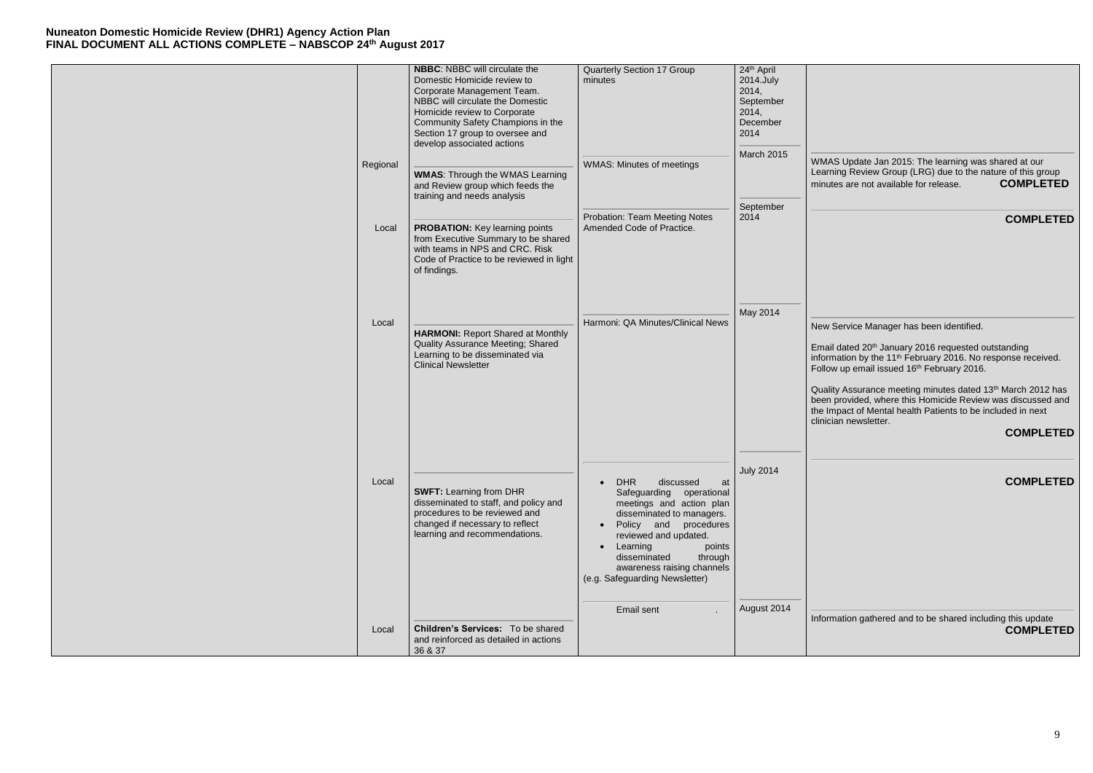|          | <b>NBBC: NBBC will circulate the</b><br>Domestic Homicide review to<br>Corporate Management Team.<br>NBBC will circulate the Domestic<br>Homicide review to Corporate<br>Community Safety Champions in the<br>Section 17 group to oversee and<br>develop associated actions | <b>Quarterly Section 17 Group</b><br>minutes                                                                                                                                                                                                                                                   | 24th April<br>2014.July<br>2014,<br>September<br>2014,<br>December<br>2014<br>March 2015 |                                                                           |
|----------|-----------------------------------------------------------------------------------------------------------------------------------------------------------------------------------------------------------------------------------------------------------------------------|------------------------------------------------------------------------------------------------------------------------------------------------------------------------------------------------------------------------------------------------------------------------------------------------|------------------------------------------------------------------------------------------|---------------------------------------------------------------------------|
| Regional | <b>WMAS:</b> Through the WMAS Learning<br>and Review group which feeds the<br>training and needs analysis                                                                                                                                                                   | <b>WMAS: Minutes of meetings</b>                                                                                                                                                                                                                                                               | September                                                                                | WM/<br>Lear<br>minu                                                       |
| Local    | <b>PROBATION:</b> Key learning points<br>from Executive Summary to be shared<br>with teams in NPS and CRC. Risk<br>Code of Practice to be reviewed in light<br>of findings.                                                                                                 | <b>Probation: Team Meeting Notes</b><br>Amended Code of Practice.                                                                                                                                                                                                                              | 2014                                                                                     |                                                                           |
| Local    | <b>HARMONI:</b> Report Shared at Monthly<br><b>Quality Assurance Meeting; Shared</b><br>Learning to be disseminated via<br><b>Clinical Newsletter</b>                                                                                                                       | Harmoni: QA Minutes/Clinical News                                                                                                                                                                                                                                                              | May 2014                                                                                 | <b>New</b><br>Emai<br>inforr<br>Follo<br>Qual<br>been<br>the Ir<br>clinic |
| Local    | <b>SWFT: Learning from DHR</b><br>disseminated to staff, and policy and<br>procedures to be reviewed and<br>changed if necessary to reflect<br>learning and recommendations.                                                                                                | <b>DHR</b><br>discussed<br>at<br>Safeguarding<br>operational<br>meetings and action plan<br>disseminated to managers.<br>Policy<br>and<br>procedures<br>reviewed and updated.<br>Learning<br>points<br>disseminated<br>through<br>awareness raising channels<br>(e.g. Safeguarding Newsletter) | <b>July 2014</b>                                                                         |                                                                           |
| Local    | Children's Services: To be shared<br>and reinforced as detailed in actions<br>36 & 37                                                                                                                                                                                       | Email sent                                                                                                                                                                                                                                                                                     | August 2014                                                                              | Infor                                                                     |

AS Update Jan 2015: The learning was shared at our ning Review Group (LRG) due to the nature of this group minutes are not available for release. **COMPLETED**

mation gathered and to be shared including this update **COMPLETED**

**COMPLETED**

Service Manager has been identified.

Email dated 20<sup>th</sup> January 2016 requested outstanding information by the 11<sup>th</sup> February 2016. No response received. Follow up email issued 16<sup>th</sup> February 2016.

Quality Assurance meeting minutes dated 13<sup>th</sup> March 2012 has provided, where this Homicide Review was discussed and mpact of Mental health Patients to be included in next cian newsletter.

## **COMPLETED**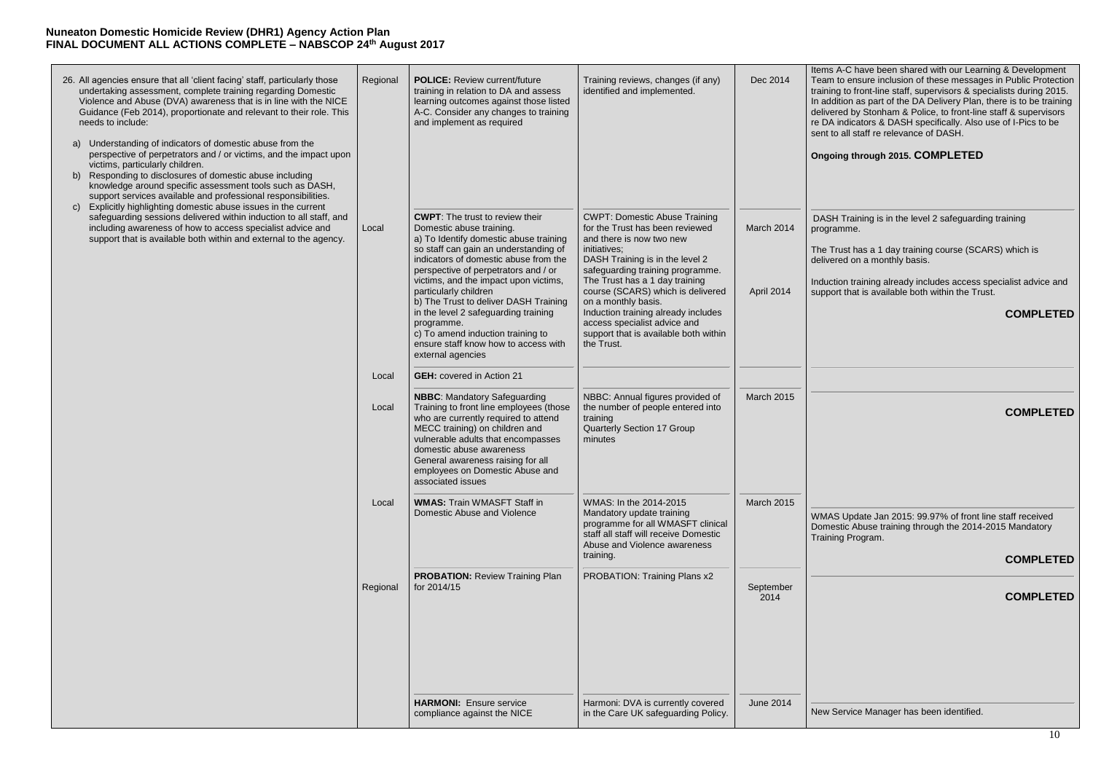| 26. All agencies ensure that all 'client facing' staff, particularly those<br>undertaking assessment, complete training regarding Domestic<br>Violence and Abuse (DVA) awareness that is in line with the NICE<br>Guidance (Feb 2014), proportionate and relevant to their role. This<br>needs to include:<br>Understanding of indicators of domestic abuse from the<br>a)<br>perspective of perpetrators and / or victims, and the impact upon | Regional | <b>POLICE:</b> Review current/future<br>training in relation to DA and assess<br>learning outcomes against those listed<br>A-C. Consider any changes to training<br>and implement as required                                                                                                                                                                                                                                                                                                             | Training reviews, changes (if any)<br>identified and implemented.                                                                                                                                                                                                                                                                                                                                                      | Dec 2014                 | Iter<br>Tea<br>trai<br>ln <sub>i</sub><br>del<br>re l<br>ser<br>On |
|-------------------------------------------------------------------------------------------------------------------------------------------------------------------------------------------------------------------------------------------------------------------------------------------------------------------------------------------------------------------------------------------------------------------------------------------------|----------|-----------------------------------------------------------------------------------------------------------------------------------------------------------------------------------------------------------------------------------------------------------------------------------------------------------------------------------------------------------------------------------------------------------------------------------------------------------------------------------------------------------|------------------------------------------------------------------------------------------------------------------------------------------------------------------------------------------------------------------------------------------------------------------------------------------------------------------------------------------------------------------------------------------------------------------------|--------------------------|--------------------------------------------------------------------|
| victims, particularly children.<br>Responding to disclosures of domestic abuse including<br>b)<br>knowledge around specific assessment tools such as DASH,<br>support services available and professional responsibilities.<br>Explicitly highlighting domestic abuse issues in the current<br>$\mathsf{C}$                                                                                                                                     |          |                                                                                                                                                                                                                                                                                                                                                                                                                                                                                                           |                                                                                                                                                                                                                                                                                                                                                                                                                        |                          |                                                                    |
| safeguarding sessions delivered within induction to all staff, and<br>including awareness of how to access specialist advice and<br>support that is available both within and external to the agency.                                                                                                                                                                                                                                           | Local    | <b>CWPT:</b> The trust to review their<br>Domestic abuse training.<br>a) To Identify domestic abuse training<br>so staff can gain an understanding of<br>indicators of domestic abuse from the<br>perspective of perpetrators and / or<br>victims, and the impact upon victims,<br>particularly children<br>b) The Trust to deliver DASH Training<br>in the level 2 safeguarding training<br>programme.<br>c) To amend induction training to<br>ensure staff know how to access with<br>external agencies | <b>CWPT: Domestic Abuse Training</b><br>for the Trust has been reviewed<br>and there is now two new<br>initiatives;<br>DASH Training is in the level 2<br>safeguarding training programme.<br>The Trust has a 1 day training<br>course (SCARS) which is delivered<br>on a monthly basis.<br>Induction training already includes<br>access specialist advice and<br>support that is available both within<br>the Trust. | March 2014<br>April 2014 | D/<br>pro<br><b>The</b><br>del<br>Ind<br>sup                       |
|                                                                                                                                                                                                                                                                                                                                                                                                                                                 | Local    | <b>GEH:</b> covered in Action 21                                                                                                                                                                                                                                                                                                                                                                                                                                                                          |                                                                                                                                                                                                                                                                                                                                                                                                                        |                          |                                                                    |
|                                                                                                                                                                                                                                                                                                                                                                                                                                                 | Local    | <b>NBBC:</b> Mandatory Safeguarding<br>Training to front line employees (those<br>who are currently required to attend<br>MECC training) on children and<br>vulnerable adults that encompasses<br>domestic abuse awareness<br>General awareness raising for all<br>employees on Domestic Abuse and<br>associated issues                                                                                                                                                                                   | NBBC: Annual figures provided of<br>the number of people entered into<br>training<br><b>Quarterly Section 17 Group</b><br>minutes                                                                                                                                                                                                                                                                                      | March 2015               |                                                                    |
|                                                                                                                                                                                                                                                                                                                                                                                                                                                 | Local    | <b>WMAS: Train WMASFT Staff in</b><br>Domestic Abuse and Violence                                                                                                                                                                                                                                                                                                                                                                                                                                         | WMAS: In the 2014-2015<br>Mandatory update training<br>programme for all WMASFT clinical<br>staff all staff will receive Domestic<br>Abuse and Violence awareness<br>training.                                                                                                                                                                                                                                         | March 2015               | <b>WN</b><br>Do<br>Tra                                             |
|                                                                                                                                                                                                                                                                                                                                                                                                                                                 | Regional | <b>PROBATION: Review Training Plan</b><br>for 2014/15                                                                                                                                                                                                                                                                                                                                                                                                                                                     | PROBATION: Training Plans x2                                                                                                                                                                                                                                                                                                                                                                                           | September<br>2014        |                                                                    |
|                                                                                                                                                                                                                                                                                                                                                                                                                                                 |          | <b>HARMONI: Ensure service</b><br>compliance against the NICE                                                                                                                                                                                                                                                                                                                                                                                                                                             | Harmoni: DVA is currently covered<br>in the Care UK safeguarding Policy.                                                                                                                                                                                                                                                                                                                                               | <b>June 2014</b>         | Ne                                                                 |

ms A-C have been shared with our Learning & Development am to ensure inclusion of these messages in Public Protection ining to front-line staff, supervisors & specialists during 2015. addition as part of the DA Delivery Plan, there is to be training livered by Stonham & Police, to front-line staff & supervisors DA indicators & DASH specifically. Also use of I-Pics to be nt to all staff re relevance of DASH.

WMAS Update Jan 2015: 99.97% of front line staff received mestic Abuse training through the 2014-2015 Mandatory aining Program.

#### **Ongoing through 2015. COMPLETED**

ASH Training is in the level 2 safeguarding training pgramme.

e Trust has a 1 day training course (SCARS) which is livered on a monthly basis.

duction training already includes access specialist advice and pport that is available both within the Trust.

**COMPLETED**

## **COMPLETED**

# **COMPLETED**

## **COMPLETED**

w Service Manager has been identified.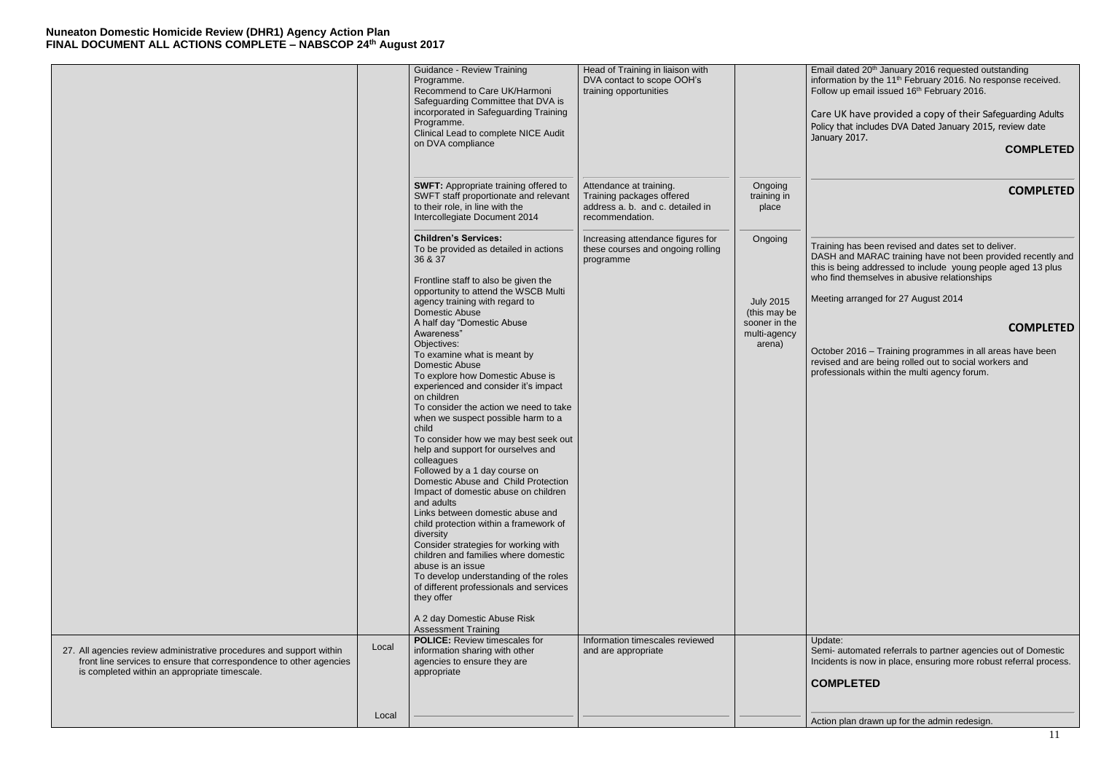aining has been revised and dates set to deliver. ASH and MARAC training have not been provided recently and  $s$  is being addressed to include young people aged 13 plus who find themselves in abusive relationships

eting arranged for 27 August 2014

|                                                                                                                                             |       | <b>Guidance - Review Training</b><br>Programme.<br>Recommend to Care UK/Harmoni<br>Safeguarding Committee that DVA is<br>incorporated in Safeguarding Training<br>Programme.<br>Clinical Lead to complete NICE Audit<br>on DVA compliance | Head of Training in liaison with<br>DVA contact to scope OOH's<br>training opportunities                    |                                                                             | Em<br>infc<br>Fol<br>Car<br>Poli<br>Jan |
|---------------------------------------------------------------------------------------------------------------------------------------------|-------|-------------------------------------------------------------------------------------------------------------------------------------------------------------------------------------------------------------------------------------------|-------------------------------------------------------------------------------------------------------------|-----------------------------------------------------------------------------|-----------------------------------------|
|                                                                                                                                             |       | <b>SWFT: Appropriate training offered to</b><br>SWFT staff proportionate and relevant<br>to their role, in line with the<br>Intercollegiate Document 2014                                                                                 | Attendance at training.<br>Training packages offered<br>address a. b. and c. detailed in<br>recommendation. | Ongoing<br>training in<br>place                                             |                                         |
|                                                                                                                                             |       | <b>Children's Services:</b><br>To be provided as detailed in actions<br>36 & 37<br>Frontline staff to also be given the                                                                                                                   | Increasing attendance figures for<br>these courses and ongoing rolling<br>programme                         | Ongoing                                                                     | Tra<br>DA<br>this<br>wh                 |
|                                                                                                                                             |       | opportunity to attend the WSCB Multi<br>agency training with regard to<br>Domestic Abuse<br>A half day "Domestic Abuse<br>Awareness"<br>Objectives:                                                                                       |                                                                                                             | <b>July 2015</b><br>(this may be<br>sooner in the<br>multi-agency<br>arena) | Me                                      |
|                                                                                                                                             |       | To examine what is meant by<br>Domestic Abuse<br>To explore how Domestic Abuse is<br>experienced and consider it's impact<br>on children<br>To consider the action we need to take                                                        |                                                                                                             |                                                                             | Oct<br>rev<br>pro                       |
|                                                                                                                                             |       | when we suspect possible harm to a<br>child<br>To consider how we may best seek out<br>help and support for ourselves and<br>colleagues                                                                                                   |                                                                                                             |                                                                             |                                         |
|                                                                                                                                             |       | Followed by a 1 day course on<br>Domestic Abuse and Child Protection<br>Impact of domestic abuse on children<br>and adults<br>Links between domestic abuse and<br>child protection within a framework of                                  |                                                                                                             |                                                                             |                                         |
|                                                                                                                                             |       | diversity<br>Consider strategies for working with<br>children and families where domestic<br>abuse is an issue<br>To develop understanding of the roles<br>of different professionals and services<br>they offer                          |                                                                                                             |                                                                             |                                         |
|                                                                                                                                             |       | A 2 day Domestic Abuse Risk<br><b>Assessment Training</b>                                                                                                                                                                                 |                                                                                                             |                                                                             |                                         |
| 27. All agencies review administrative procedures and support within<br>front line services to ensure that correspondence to other agencies | Local | <b>POLICE:</b> Review timescales for<br>information sharing with other<br>agencies to ensure they are                                                                                                                                     | Information timescales reviewed<br>and are appropriate                                                      |                                                                             | Up<br>Ser<br>Inc                        |
| is completed within an appropriate timescale.                                                                                               |       | appropriate                                                                                                                                                                                                                               |                                                                                                             |                                                                             | <b>CC</b>                               |
|                                                                                                                                             | Local |                                                                                                                                                                                                                                           |                                                                                                             |                                                                             | Act                                     |

Email dated 20<sup>th</sup> January 2016 requested outstanding information by the 11<sup>th</sup> February 2016. No response received. llow up email issued 16<sup>th</sup> February 2016.

re UK have provided a copy of their Safeguarding Adults licy that includes DVA Dated January 2015, review date  $\frac{1}{2}$ nuary 2017.

# **COMPLETED**

# **COMPLETED**

# **COMPLETED**

tober 2016 – Training programmes in all areas have been rised and are being rolled out to social workers and ofessionals within the multi agency forum.

date:

mi- automated referrals to partner agencies out of Domestic idents is now in place, ensuring more robust referral process.

# **COMPLETED**

tion plan drawn up for the admin redesign.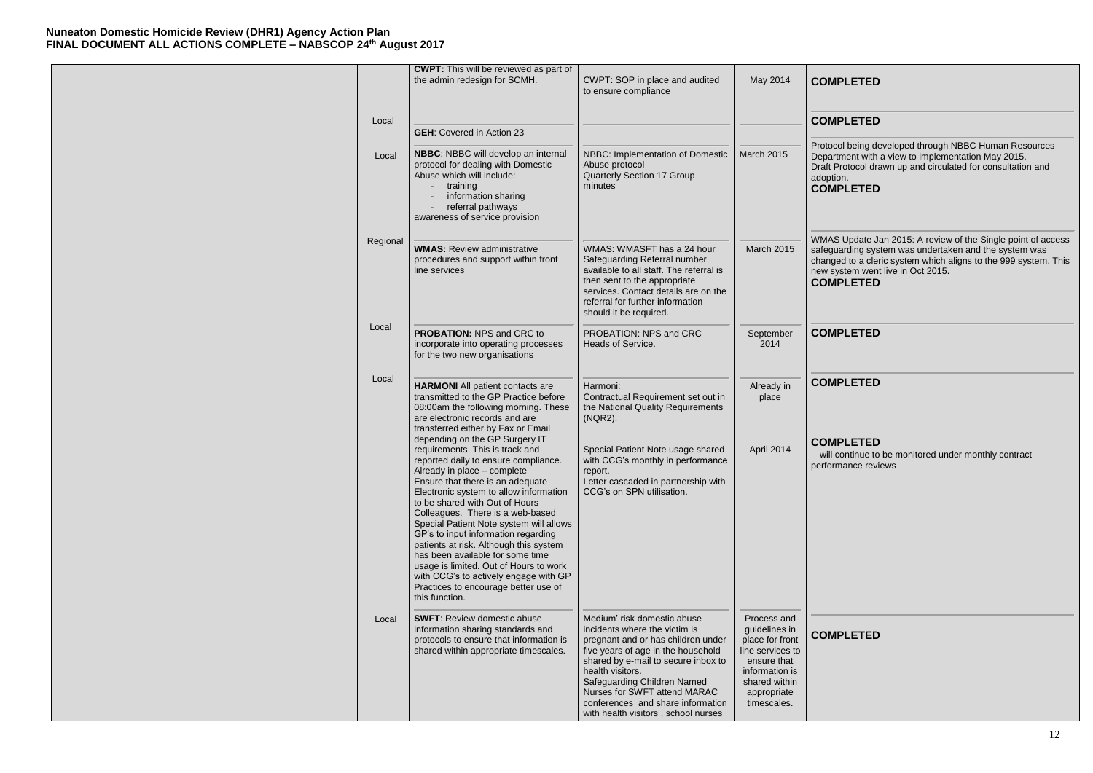|          | <b>CWPT:</b> This will be reviewed as part of<br>the admin redesign for SCMH.                                                                                                                                                                                                                                                                                                                                                                                                                                                                                                                             | CWPT: SOP in place and audited<br>to ensure compliance                                                                                                                                                                                                                                                                                         | May 2014                                                                                                                                            | <b>CO</b>                                     |
|----------|-----------------------------------------------------------------------------------------------------------------------------------------------------------------------------------------------------------------------------------------------------------------------------------------------------------------------------------------------------------------------------------------------------------------------------------------------------------------------------------------------------------------------------------------------------------------------------------------------------------|------------------------------------------------------------------------------------------------------------------------------------------------------------------------------------------------------------------------------------------------------------------------------------------------------------------------------------------------|-----------------------------------------------------------------------------------------------------------------------------------------------------|-----------------------------------------------|
| Local    | <b>GEH:</b> Covered in Action 23                                                                                                                                                                                                                                                                                                                                                                                                                                                                                                                                                                          |                                                                                                                                                                                                                                                                                                                                                |                                                                                                                                                     | CO                                            |
| Local    | NBBC: NBBC will develop an internal<br>protocol for dealing with Domestic<br>Abuse which will include:<br>training<br>information sharing<br>referral pathways<br>awareness of service provision                                                                                                                                                                                                                                                                                                                                                                                                          | NBBC: Implementation of Domestic<br>Abuse protocol<br><b>Quarterly Section 17 Group</b><br>minutes                                                                                                                                                                                                                                             | <b>March 2015</b>                                                                                                                                   | Prot<br>Dep<br>Draf<br>ado<br><b>CO</b>       |
| Regional | <b>WMAS: Review administrative</b><br>procedures and support within front<br>line services                                                                                                                                                                                                                                                                                                                                                                                                                                                                                                                | WMAS: WMASFT has a 24 hour<br>Safeguarding Referral number<br>available to all staff. The referral is<br>then sent to the appropriate<br>services. Contact details are on the<br>referral for further information<br>should it be required.                                                                                                    | March 2015                                                                                                                                          | <b>WM</b><br>safe<br>char<br>new<br><b>CO</b> |
| Local    | <b>PROBATION: NPS and CRC to</b><br>incorporate into operating processes<br>for the two new organisations                                                                                                                                                                                                                                                                                                                                                                                                                                                                                                 | PROBATION: NPS and CRC<br>Heads of Service.                                                                                                                                                                                                                                                                                                    | September<br>2014                                                                                                                                   | <b>CO</b>                                     |
| Local    | <b>HARMONI</b> All patient contacts are<br>transmitted to the GP Practice before<br>08:00am the following morning. These<br>are electronic records and are<br>transferred either by Fax or Email                                                                                                                                                                                                                                                                                                                                                                                                          | Harmoni:<br>Contractual Requirement set out in<br>the National Quality Requirements<br>(NQR2).                                                                                                                                                                                                                                                 | Already in<br>place                                                                                                                                 | CO                                            |
|          | depending on the GP Surgery IT<br>requirements. This is track and<br>reported daily to ensure compliance.<br>Already in place - complete<br>Ensure that there is an adequate<br>Electronic system to allow information<br>to be shared with Out of Hours<br>Colleagues. There is a web-based<br>Special Patient Note system will allows<br>GP's to input information regarding<br>patients at risk. Although this system<br>has been available for some time<br>usage is limited. Out of Hours to work<br>with CCG's to actively engage with GP<br>Practices to encourage better use of<br>this function. | Special Patient Note usage shared<br>with CCG's monthly in performance<br>report.<br>Letter cascaded in partnership with<br>CCG's on SPN utilisation.                                                                                                                                                                                          | April 2014                                                                                                                                          | <b>CO</b><br>– wi<br>perf                     |
| Local    | <b>SWFT: Review domestic abuse</b><br>information sharing standards and<br>protocols to ensure that information is<br>shared within appropriate timescales.                                                                                                                                                                                                                                                                                                                                                                                                                                               | Medium' risk domestic abuse<br>incidents where the victim is<br>pregnant and or has children under<br>five years of age in the household<br>shared by e-mail to secure inbox to<br>health visitors.<br>Safeguarding Children Named<br>Nurses for SWFT attend MARAC<br>conferences and share information<br>with health visitors, school nurses | Process and<br>guidelines in<br>place for front<br>line services to<br>ensure that<br>information is<br>shared within<br>appropriate<br>timescales. | <b>CO</b>                                     |

tocol being developed through NBBC Human Resources Department with a view to implementation May 2015. Draft Protocol drawn up and circulated for consultation and ption. **COMPLETED**

IAS Update Jan 2015: A review of the Single point of access safeguarding system was undertaken and the system was changed to a cleric system which aligns to the 999 system. This system went live in Oct 2015. **COMPLETED**

# **COMPLETED**

# **COMPLETED**

### **COMPLETED**

# **COMPLETED**

### **COMPLETED**

ill continue to be monitored under monthly contract formance reviews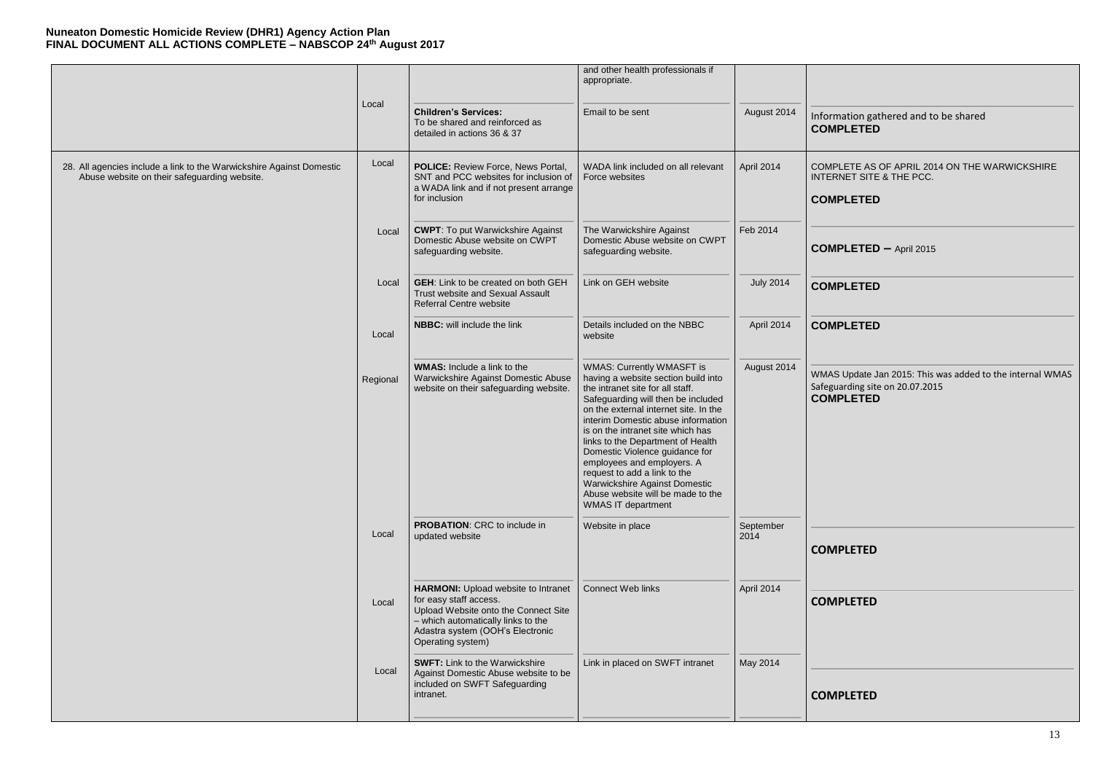### ormation gathered and to be shared **COMPLETED**

MPLETE AS OF APRIL 2014 ON THE WARWICKSHIRE **ERNET SITE & THE PCC.** 

|                                                                                                                      |          |                                                                                                                                                                                                             | and other health professionals if<br>appropriate.                                                                                                                                                                                                                                                                                                                                                                                                                                                             |                   |                                  |
|----------------------------------------------------------------------------------------------------------------------|----------|-------------------------------------------------------------------------------------------------------------------------------------------------------------------------------------------------------------|---------------------------------------------------------------------------------------------------------------------------------------------------------------------------------------------------------------------------------------------------------------------------------------------------------------------------------------------------------------------------------------------------------------------------------------------------------------------------------------------------------------|-------------------|----------------------------------|
|                                                                                                                      | Local    | <b>Children's Services:</b><br>To be shared and reinforced as<br>detailed in actions 36 & 37                                                                                                                | Email to be sent                                                                                                                                                                                                                                                                                                                                                                                                                                                                                              | August 2014       | Info<br>CO                       |
| 28. All agencies include a link to the Warwickshire Against Domestic<br>Abuse website on their safeguarding website. | Local    | POLICE: Review Force, News Portal,<br>SNT and PCC websites for inclusion of<br>a WADA link and if not present arrange<br>for inclusion                                                                      | WADA link included on all relevant<br>Force websites                                                                                                                                                                                                                                                                                                                                                                                                                                                          | April 2014        | COI<br><b>INT</b><br>$_{\rm CO}$ |
|                                                                                                                      | Local    | <b>CWPT:</b> To put Warwickshire Against<br>Domestic Abuse website on CWPT<br>safeguarding website.                                                                                                         | The Warwickshire Against<br>Domestic Abuse website on CWPT<br>safeguarding website.                                                                                                                                                                                                                                                                                                                                                                                                                           | Feb 2014          | <b>CO</b>                        |
|                                                                                                                      | Local    | <b>GEH:</b> Link to be created on both GEH<br>Trust website and Sexual Assault<br><b>Referral Centre website</b>                                                                                            | Link on GEH website                                                                                                                                                                                                                                                                                                                                                                                                                                                                                           | <b>July 2014</b>  | $_{\rm CO}$                      |
|                                                                                                                      | Local    | <b>NBBC:</b> will include the link                                                                                                                                                                          | Details included on the NBBC<br>website                                                                                                                                                                                                                                                                                                                                                                                                                                                                       | April 2014        | CO                               |
|                                                                                                                      | Regional | <b>WMAS:</b> Include a link to the<br>Warwickshire Against Domestic Abuse<br>website on their safeguarding website.                                                                                         | <b>WMAS: Currently WMASFT is</b><br>having a website section build into<br>the intranet site for all staff.<br>Safeguarding will then be included<br>on the external internet site. In the<br>interim Domestic abuse information<br>is on the intranet site which has<br>links to the Department of Health<br>Domestic Violence guidance for<br>employees and employers. A<br>request to add a link to the<br>Warwickshire Against Domestic<br>Abuse website will be made to the<br><b>WMAS IT department</b> | August 2014       | <b>WM</b><br>Safe<br>CO          |
|                                                                                                                      | Local    | <b>PROBATION: CRC to include in</b><br>updated website                                                                                                                                                      | Website in place                                                                                                                                                                                                                                                                                                                                                                                                                                                                                              | September<br>2014 | <b>CO</b>                        |
|                                                                                                                      | Local    | <b>HARMONI:</b> Upload website to Intranet<br>for easy staff access.<br>Upload Website onto the Connect Site<br>- which automatically links to the<br>Adastra system (OOH's Electronic<br>Operating system) | <b>Connect Web links</b>                                                                                                                                                                                                                                                                                                                                                                                                                                                                                      | April 2014        | <b>CO</b>                        |
|                                                                                                                      | Local    | <b>SWFT: Link to the Warwickshire</b><br>Against Domestic Abuse website to be<br>included on SWFT Safeguarding<br>intranet.                                                                                 | Link in placed on SWFT intranet                                                                                                                                                                                                                                                                                                                                                                                                                                                                               | May 2014          | <b>CO</b>                        |

AS Update Jan 2015: This was added to the internal WMAS eguarding site on 20.07.2015 **COMPLETED**

# **COMPLETED**

**COMPLETED –** April 2015

# **COMPLETED**

# **COMPLETED**

# **COMPLETED**

# **COMPLETED**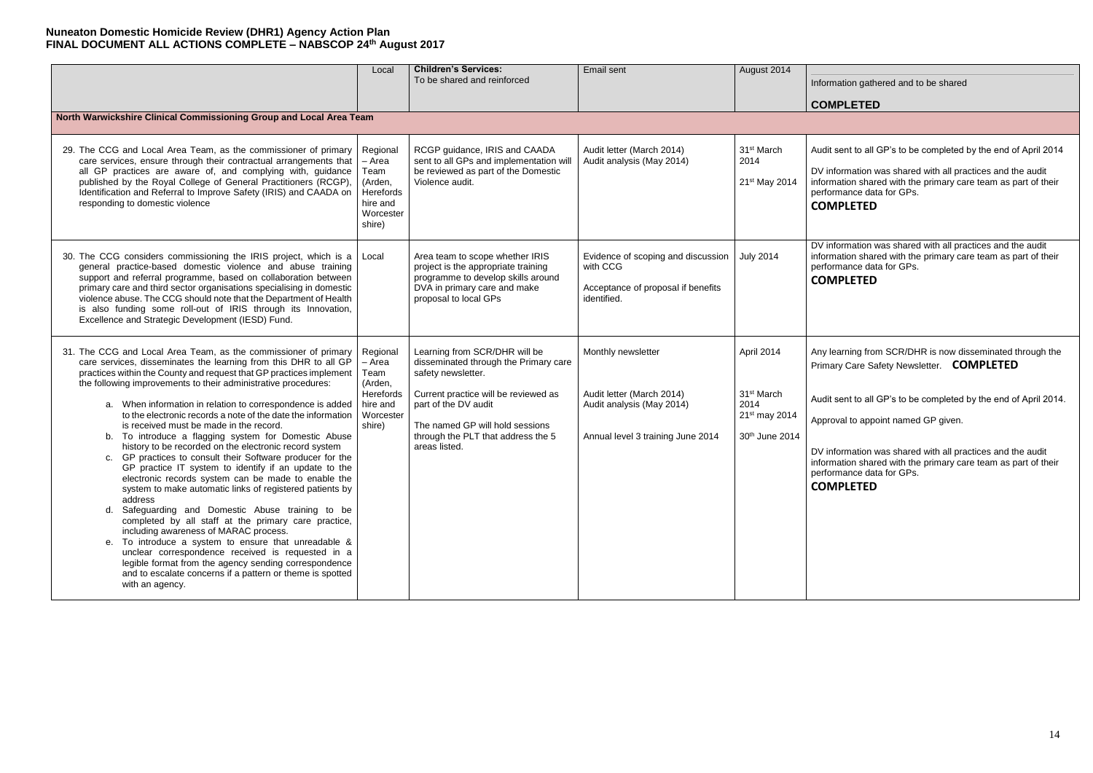# **COMPLETED**

dit sent to all GP's to be completed by the end of April 2014

information was shared with all practices and the audit information shared with the primary care team as part of their formance data for GPs.

### **COMPLETED**

information was shared with all practices and the audit information shared with the primary care team as part of their formance data for GPs.

/ learning from SCR/DHR is now disseminated through the Primary Care Safety Newsletter. **COMPLETED**

dit sent to all GP's to be completed by the end of April 2014.

broval to appoint named GP given.

information was shared with all practices and the audit information shared with the primary care team as part of their formance data for GPs.

|                                                                                                                                                                                                                                                                                                                                                                                                                                                                                                                                                                                                                                                                                                                                                                                                                                                                                                                                                                                                                                                                                                                                                                                                                                          | Local                                                                                 | <b>Children's Services:</b><br>To be shared and reinforced                                                                                                                                                                                             | Email sent                                                                                                        | August 2014                                                                     | Info                                                                |
|------------------------------------------------------------------------------------------------------------------------------------------------------------------------------------------------------------------------------------------------------------------------------------------------------------------------------------------------------------------------------------------------------------------------------------------------------------------------------------------------------------------------------------------------------------------------------------------------------------------------------------------------------------------------------------------------------------------------------------------------------------------------------------------------------------------------------------------------------------------------------------------------------------------------------------------------------------------------------------------------------------------------------------------------------------------------------------------------------------------------------------------------------------------------------------------------------------------------------------------|---------------------------------------------------------------------------------------|--------------------------------------------------------------------------------------------------------------------------------------------------------------------------------------------------------------------------------------------------------|-------------------------------------------------------------------------------------------------------------------|---------------------------------------------------------------------------------|---------------------------------------------------------------------|
| North Warwickshire Clinical Commissioning Group and Local Area Team                                                                                                                                                                                                                                                                                                                                                                                                                                                                                                                                                                                                                                                                                                                                                                                                                                                                                                                                                                                                                                                                                                                                                                      |                                                                                       |                                                                                                                                                                                                                                                        |                                                                                                                   |                                                                                 | CO                                                                  |
|                                                                                                                                                                                                                                                                                                                                                                                                                                                                                                                                                                                                                                                                                                                                                                                                                                                                                                                                                                                                                                                                                                                                                                                                                                          |                                                                                       |                                                                                                                                                                                                                                                        |                                                                                                                   |                                                                                 |                                                                     |
| 29. The CCG and Local Area Team, as the commissioner of primary<br>care services, ensure through their contractual arrangements that<br>all GP practices are aware of, and complying with, guidance<br>published by the Royal College of General Practitioners (RCGP),<br>Identification and Referral to Improve Safety (IRIS) and CAADA on<br>responding to domestic violence                                                                                                                                                                                                                                                                                                                                                                                                                                                                                                                                                                                                                                                                                                                                                                                                                                                           | Regional<br>- Area<br>Team<br>(Arden,<br>Herefords<br>hire and<br>Worcester<br>shire) | RCGP guidance, IRIS and CAADA<br>sent to all GPs and implementation will<br>be reviewed as part of the Domestic<br>Violence audit.                                                                                                                     | Audit letter (March 2014)<br>Audit analysis (May 2014)                                                            | 31 <sup>st</sup> March<br>2014<br>21 <sup>st</sup> May 2014                     | Auc<br>DV<br>info<br>perf<br><b>CO</b>                              |
| 30. The CCG considers commissioning the IRIS project, which is a<br>general practice-based domestic violence and abuse training<br>support and referral programme, based on collaboration between<br>primary care and third sector organisations specialising in domestic<br>violence abuse. The CCG should note that the Department of Health<br>is also funding some roll-out of IRIS through its Innovation,<br>Excellence and Strategic Development (IESD) Fund.                                                                                                                                                                                                                                                                                                                                                                                                                                                                                                                                                                                                                                                                                                                                                                     | Local                                                                                 | Area team to scope whether IRIS<br>project is the appropriate training<br>programme to develop skills around<br>DVA in primary care and make<br>proposal to local GPs                                                                                  | Evidence of scoping and discussion<br>with CCG<br>Acceptance of proposal if benefits<br>identified.               | <b>July 2014</b>                                                                | <b>DV</b><br>info<br>perf<br><b>CO</b>                              |
| 31. The CCG and Local Area Team, as the commissioner of primary<br>care services, disseminates the learning from this DHR to all GP<br>practices within the County and request that GP practices implement<br>the following improvements to their administrative procedures:<br>a. When information in relation to correspondence is added<br>to the electronic records a note of the date the information<br>is received must be made in the record.<br>b. To introduce a flagging system for Domestic Abuse<br>history to be recorded on the electronic record system<br>c. GP practices to consult their Software producer for the<br>GP practice IT system to identify if an update to the<br>electronic records system can be made to enable the<br>system to make automatic links of registered patients by<br>address<br>d. Safeguarding and Domestic Abuse training to be<br>completed by all staff at the primary care practice,<br>including awareness of MARAC process.<br>e. To introduce a system to ensure that unreadable &<br>unclear correspondence received is requested in a<br>legible format from the agency sending correspondence<br>and to escalate concerns if a pattern or theme is spotted<br>with an agency. | Regional<br>- Area<br>Team<br>(Arden,<br>Herefords<br>hire and<br>Worcester<br>shire) | Learning from SCR/DHR will be<br>disseminated through the Primary care<br>safety newsletter.<br>Current practice will be reviewed as<br>part of the DV audit<br>The named GP will hold sessions<br>through the PLT that address the 5<br>areas listed. | Monthly newsletter<br>Audit letter (March 2014)<br>Audit analysis (May 2014)<br>Annual level 3 training June 2014 | April 2014<br>31 <sup>st</sup> March<br>2014<br>21st may 2014<br>30th June 2014 | Any<br>Prin<br>Aud<br>App<br><b>DV</b><br>info<br>perf<br><b>CO</b> |

Information gathered and to be shared

#### **COMPLETED**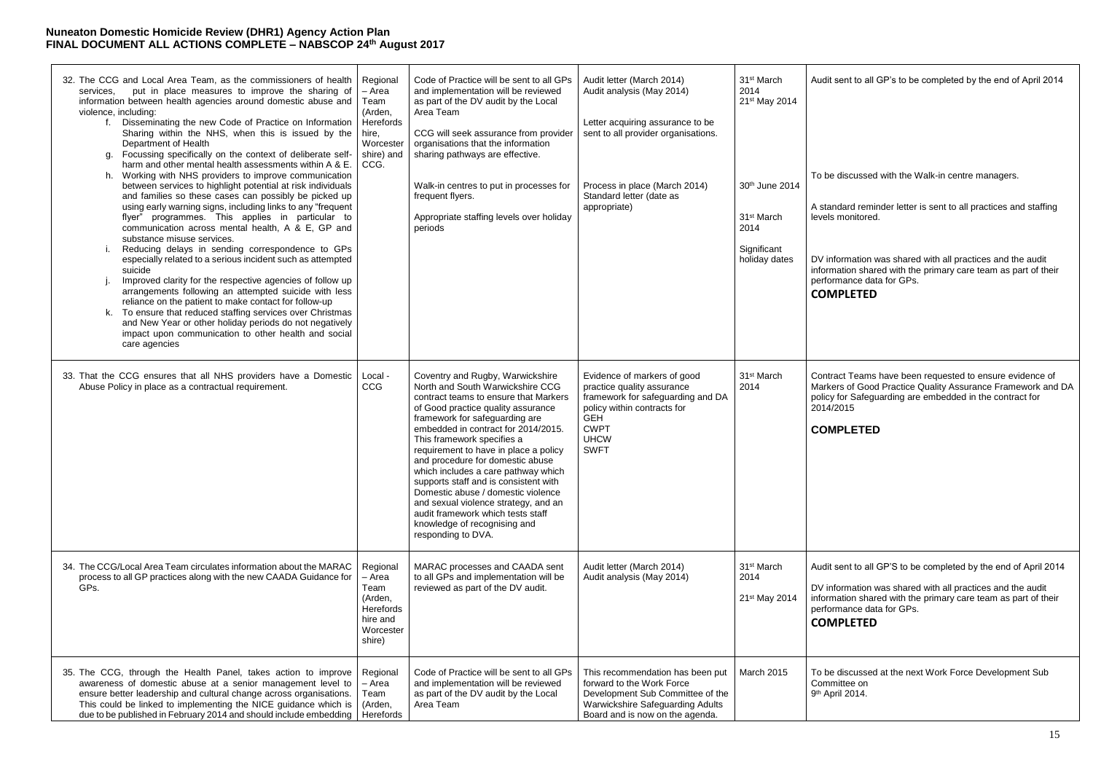Contract Teams have been requested to ensure evidence of Markers of Good Practice Quality Assurance Framework and DA policy for Safeguarding are embedded in the contract for  $4/2015$ 

### **COMPLETED**

| 32. The CCG and Local Area Team, as the commissioners of health<br>put in place measures to improve the sharing of<br>services.<br>information between health agencies around domestic abuse and<br>violence, including:<br>Disseminating the new Code of Practice on Information<br>t.<br>Sharing within the NHS, when this is issued by the<br>Department of Health<br>Focussing specifically on the context of deliberate self-<br>g.<br>harm and other mental health assessments within A & E.<br>Working with NHS providers to improve communication<br>h.<br>between services to highlight potential at risk individuals<br>and families so these cases can possibly be picked up<br>using early warning signs, including links to any "frequent<br>flyer" programmes. This applies in particular to<br>communication across mental health, A & E, GP and<br>substance misuse services.<br>Reducing delays in sending correspondence to GPs<br>İ.<br>especially related to a serious incident such as attempted<br>suicide<br>Improved clarity for the respective agencies of follow up<br>arrangements following an attempted suicide with less<br>reliance on the patient to make contact for follow-up<br>To ensure that reduced staffing services over Christmas<br>k.<br>and New Year or other holiday periods do not negatively<br>impact upon communication to other health and social<br>care agencies | Regional<br>- Area<br>Team<br>(Arden,<br>Herefords<br>hire,<br>Worcester<br>shire) and<br>CCG. | Code of Practice will be sent to all GPs<br>and implementation will be reviewed<br>as part of the DV audit by the Local<br>Area Team<br>CCG will seek assurance from provider<br>organisations that the information<br>sharing pathways are effective.<br>Walk-in centres to put in processes for<br>frequent flyers.<br>Appropriate staffing levels over holiday<br>periods                                                                                                                                                                                                                     | Audit letter (March 2014)<br>Audit analysis (May 2014)<br>Letter acquiring assurance to be<br>sent to all provider organisations.<br>Process in place (March 2014)<br>Standard letter (date as<br>appropriate) | 31 <sup>st</sup> March<br>2014<br>21st May 2014<br>30th June 2014<br>31 <sup>st</sup> March<br>2014<br>Significant<br>holiday dates | Aud<br>To b<br>A st<br>leve<br>DV i<br>infor<br>perf<br>CO |
|----------------------------------------------------------------------------------------------------------------------------------------------------------------------------------------------------------------------------------------------------------------------------------------------------------------------------------------------------------------------------------------------------------------------------------------------------------------------------------------------------------------------------------------------------------------------------------------------------------------------------------------------------------------------------------------------------------------------------------------------------------------------------------------------------------------------------------------------------------------------------------------------------------------------------------------------------------------------------------------------------------------------------------------------------------------------------------------------------------------------------------------------------------------------------------------------------------------------------------------------------------------------------------------------------------------------------------------------------------------------------------------------------------------------|------------------------------------------------------------------------------------------------|--------------------------------------------------------------------------------------------------------------------------------------------------------------------------------------------------------------------------------------------------------------------------------------------------------------------------------------------------------------------------------------------------------------------------------------------------------------------------------------------------------------------------------------------------------------------------------------------------|----------------------------------------------------------------------------------------------------------------------------------------------------------------------------------------------------------------|-------------------------------------------------------------------------------------------------------------------------------------|------------------------------------------------------------|
| 33. That the CCG ensures that all NHS providers have a Domestic<br>Abuse Policy in place as a contractual requirement.                                                                                                                                                                                                                                                                                                                                                                                                                                                                                                                                                                                                                                                                                                                                                                                                                                                                                                                                                                                                                                                                                                                                                                                                                                                                                               | Local -<br>CCG                                                                                 | Coventry and Rugby, Warwickshire<br>North and South Warwickshire CCG<br>contract teams to ensure that Markers<br>of Good practice quality assurance<br>framework for safeguarding are<br>embedded in contract for 2014/2015.<br>This framework specifies a<br>requirement to have in place a policy<br>and procedure for domestic abuse<br>which includes a care pathway which<br>supports staff and is consistent with<br>Domestic abuse / domestic violence<br>and sexual violence strategy, and an<br>audit framework which tests staff<br>knowledge of recognising and<br>responding to DVA. | Evidence of markers of good<br>practice quality assurance<br>framework for safeguarding and DA<br>policy within contracts for<br><b>GEH</b><br><b>CWPT</b><br><b>UHCW</b><br><b>SWFT</b>                       | 31 <sup>st</sup> March<br>2014                                                                                                      | Con<br>Mar<br>polio<br>201<br>$_{\rm CO}$                  |
| 34. The CCG/Local Area Team circulates information about the MARAC<br>process to all GP practices along with the new CAADA Guidance for<br>GPs.                                                                                                                                                                                                                                                                                                                                                                                                                                                                                                                                                                                                                                                                                                                                                                                                                                                                                                                                                                                                                                                                                                                                                                                                                                                                      | Regional<br>- Area<br>Team<br>(Arden,<br>Herefords<br>hire and<br>Worcester<br>shire)          | MARAC processes and CAADA sent<br>to all GPs and implementation will be<br>reviewed as part of the DV audit.                                                                                                                                                                                                                                                                                                                                                                                                                                                                                     | Audit letter (March 2014)<br>Audit analysis (May 2014)                                                                                                                                                         | 31 <sup>st</sup> March<br>2014<br>21 <sup>st</sup> May 2014                                                                         | Aud<br><b>DV</b><br>infor<br>perf<br>CO                    |
| 35. The CCG, through the Health Panel, takes action to improve<br>awareness of domestic abuse at a senior management level to<br>ensure better leadership and cultural change across organisations.<br>This could be linked to implementing the NICE guidance which is<br>due to be published in February 2014 and should include embedding                                                                                                                                                                                                                                                                                                                                                                                                                                                                                                                                                                                                                                                                                                                                                                                                                                                                                                                                                                                                                                                                          | Regional<br>- Area<br>Team<br>(Arden,<br>Herefords                                             | Code of Practice will be sent to all GPs<br>and implementation will be reviewed<br>as part of the DV audit by the Local<br>Area Team                                                                                                                                                                                                                                                                                                                                                                                                                                                             | This recommendation has been put<br>forward to the Work Force<br>Development Sub Committee of the<br><b>Warwickshire Safeguarding Adults</b><br>Board and is now on the agenda.                                | <b>March 2015</b>                                                                                                                   | To t<br>Con<br>$9th$ $\prime$                              |

dit sent to all GP's to be completed by the end of April 2014

be discussed with the Walk-in centre managers.

tandard reminder letter is sent to all practices and staffing els monitored.

information was shared with all practices and the audit irmation shared with the primary care team as part of their formance data for GPs.

# **COMPLETED**

dit sent to all GP'S to be completed by the end of April 2014

information was shared with all practices and the audit information shared with the primary care team as part of their formance data for GPs.

# **COMPLETED**

be discussed at the next Work Force Development Sub mmittee on April 2014.